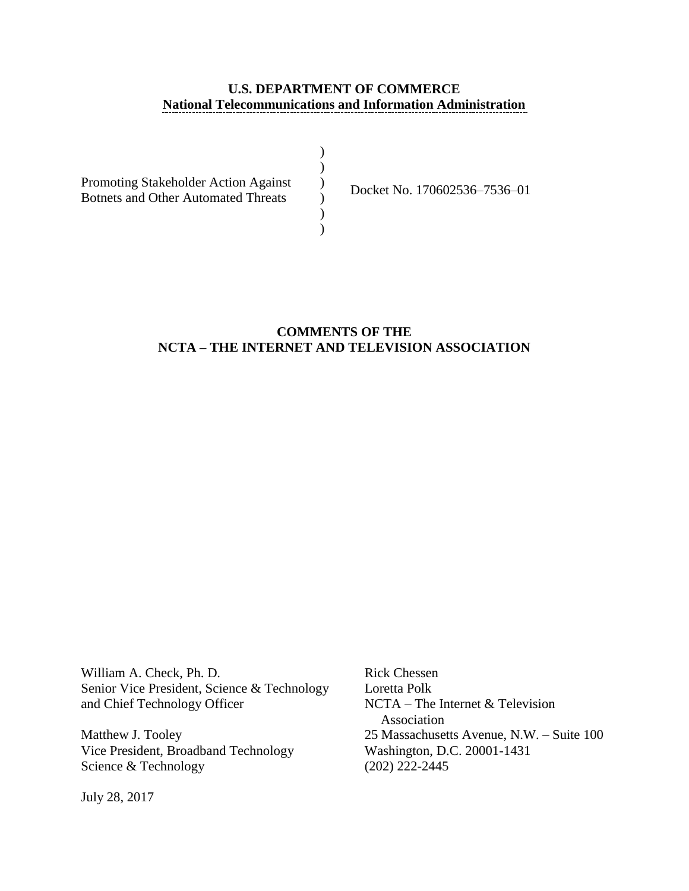# **U.S. DEPARTMENT OF COMMERCE National Telecommunications and Information Administration**

| Promoting Stakeholder Action Against       |  |
|--------------------------------------------|--|
| <b>Botnets and Other Automated Threats</b> |  |
|                                            |  |
|                                            |  |

Docket No. 170602536–7536–01

# **COMMENTS OF THE NCTA – THE INTERNET AND TELEVISION ASSOCIATION**

William A. Check, Ph. D. Rick Chessen Senior Vice President, Science & Technology Loretta Polk and Chief Technology Officer NCTA – The Internet & Television

Vice President, Broadband Technology Washington, D.C. 20001-1431 Science & Technology (202) 222-2445

Association Matthew J. Tooley 25 Massachusetts Avenue, N.W. – Suite 100

July 28, 2017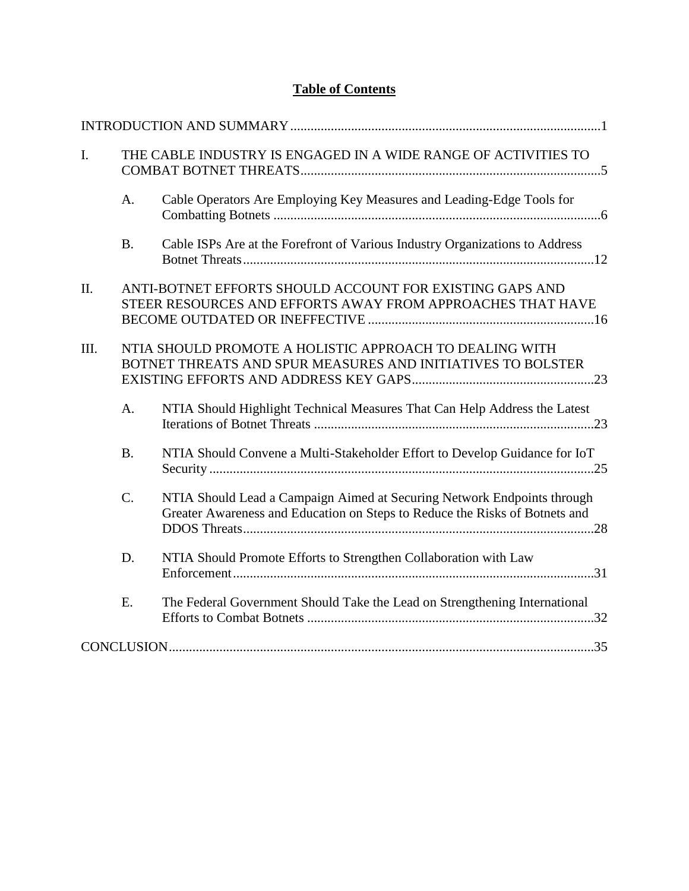# **Table of Contents**

| $\mathbf{I}$ . |           | THE CABLE INDUSTRY IS ENGAGED IN A WIDE RANGE OF ACTIVITIES TO                                                                                         |
|----------------|-----------|--------------------------------------------------------------------------------------------------------------------------------------------------------|
|                | A.        | Cable Operators Are Employing Key Measures and Leading-Edge Tools for                                                                                  |
|                | <b>B.</b> | Cable ISPs Are at the Forefront of Various Industry Organizations to Address                                                                           |
| II.            |           | ANTI-BOTNET EFFORTS SHOULD ACCOUNT FOR EXISTING GAPS AND<br>STEER RESOURCES AND EFFORTS AWAY FROM APPROACHES THAT HAVE                                 |
| III.           |           | NTIA SHOULD PROMOTE A HOLISTIC APPROACH TO DEALING WITH<br>BOTNET THREATS AND SPUR MEASURES AND INITIATIVES TO BOLSTER                                 |
|                | A.        | NTIA Should Highlight Technical Measures That Can Help Address the Latest                                                                              |
|                | <b>B.</b> | NTIA Should Convene a Multi-Stakeholder Effort to Develop Guidance for IoT                                                                             |
|                | $C$ .     | NTIA Should Lead a Campaign Aimed at Securing Network Endpoints through<br>Greater Awareness and Education on Steps to Reduce the Risks of Botnets and |
|                | D.        | NTIA Should Promote Efforts to Strengthen Collaboration with Law                                                                                       |
|                | E.        | The Federal Government Should Take the Lead on Strengthening International                                                                             |
|                |           |                                                                                                                                                        |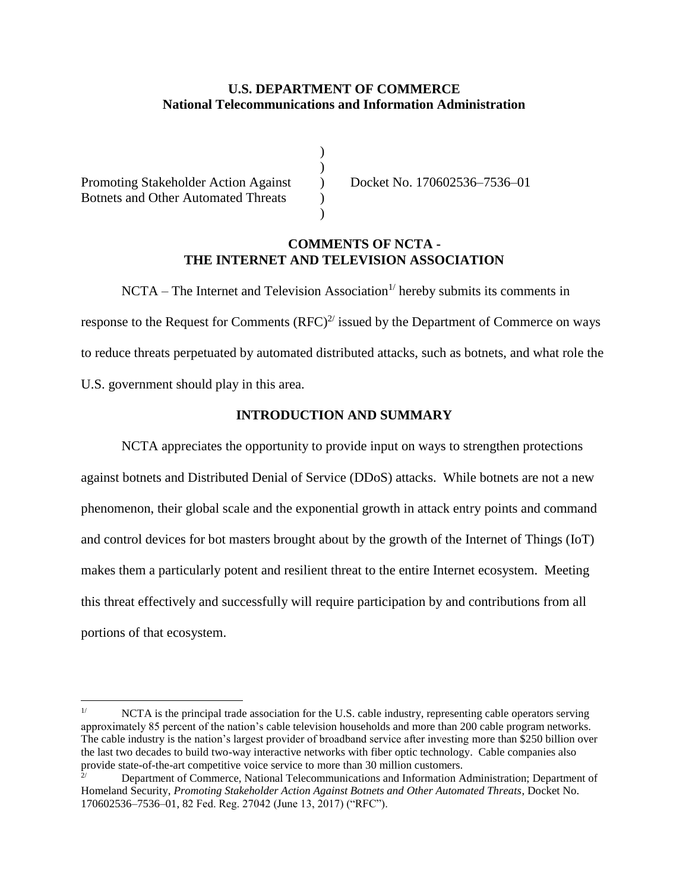# **U.S. DEPARTMENT OF COMMERCE National Telecommunications and Information Administration**

) )  $\overline{)}$ ) )

Promoting Stakeholder Action Against Botnets and Other Automated Threats

Docket No. 170602536–7536–01

#### **COMMENTS OF NCTA - THE INTERNET AND TELEVISION ASSOCIATION**

 $NCTA$  – The Internet and Television Association<sup>1/</sup> hereby submits its comments in response to the Request for Comments  $(RFC)^{2/2}$  issued by the Department of Commerce on ways to reduce threats perpetuated by automated distributed attacks, such as botnets, and what role the U.S. government should play in this area.

#### **INTRODUCTION AND SUMMARY**

<span id="page-2-0"></span>NCTA appreciates the opportunity to provide input on ways to strengthen protections against botnets and Distributed Denial of Service (DDoS) attacks. While botnets are not a new phenomenon, their global scale and the exponential growth in attack entry points and command and control devices for bot masters brought about by the growth of the Internet of Things (IoT) makes them a particularly potent and resilient threat to the entire Internet ecosystem. Meeting this threat effectively and successfully will require participation by and contributions from all portions of that ecosystem.

 $1/$ NCTA is the principal trade association for the U.S. cable industry, representing cable operators serving approximately 85 percent of the nation's cable television households and more than 200 cable program networks. The cable industry is the nation's largest provider of broadband service after investing more than \$250 billion over the last two decades to build two-way interactive networks with fiber optic technology. Cable companies also provide state-of-the-art competitive voice service to more than 30 million customers.

<sup>2/</sup> Department of Commerce, National Telecommunications and Information Administration; Department of Homeland Security, *Promoting Stakeholder Action Against Botnets and Other Automated Threats*, Docket No. 170602536–7536–01, 82 Fed. Reg. 27042 (June 13, 2017) ("RFC").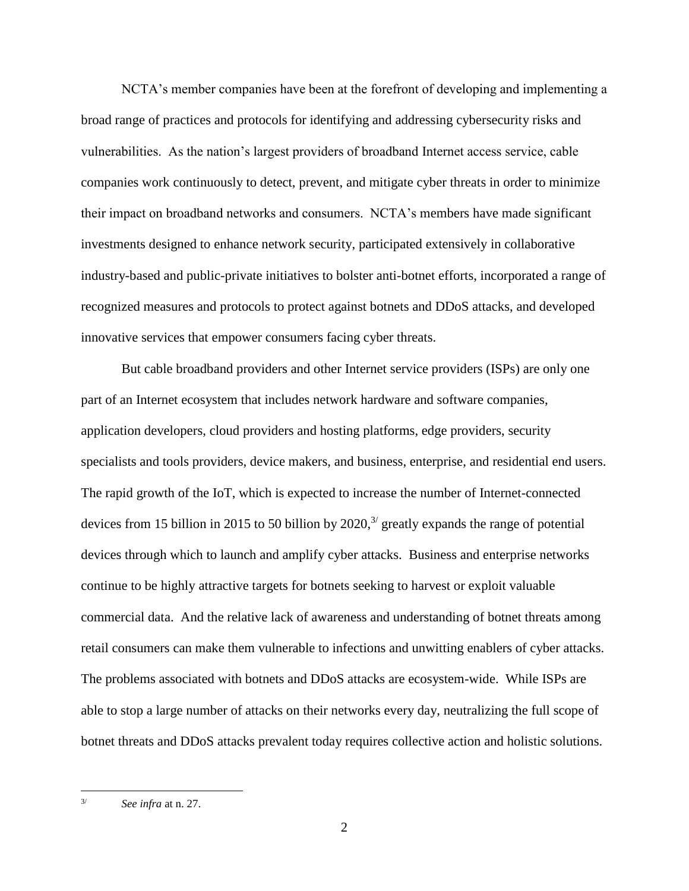NCTA's member companies have been at the forefront of developing and implementing a broad range of practices and protocols for identifying and addressing cybersecurity risks and vulnerabilities. As the nation's largest providers of broadband Internet access service, cable companies work continuously to detect, prevent, and mitigate cyber threats in order to minimize their impact on broadband networks and consumers. NCTA's members have made significant investments designed to enhance network security, participated extensively in collaborative industry-based and public-private initiatives to bolster anti-botnet efforts, incorporated a range of recognized measures and protocols to protect against botnets and DDoS attacks, and developed innovative services that empower consumers facing cyber threats.

But cable broadband providers and other Internet service providers (ISPs) are only one part of an Internet ecosystem that includes network hardware and software companies, application developers, cloud providers and hosting platforms, edge providers, security specialists and tools providers, device makers, and business, enterprise, and residential end users. The rapid growth of the IoT, which is expected to increase the number of Internet-connected devices from 15 billion in 2015 to 50 billion by  $2020$ ,<sup>3/</sup> greatly expands the range of potential devices through which to launch and amplify cyber attacks. Business and enterprise networks continue to be highly attractive targets for botnets seeking to harvest or exploit valuable commercial data. And the relative lack of awareness and understanding of botnet threats among retail consumers can make them vulnerable to infections and unwitting enablers of cyber attacks. The problems associated with botnets and DDoS attacks are ecosystem-wide. While ISPs are able to stop a large number of attacks on their networks every day, neutralizing the full scope of botnet threats and DDoS attacks prevalent today requires collective action and holistic solutions.

<sup>3/</sup> *See infra* at n. 27.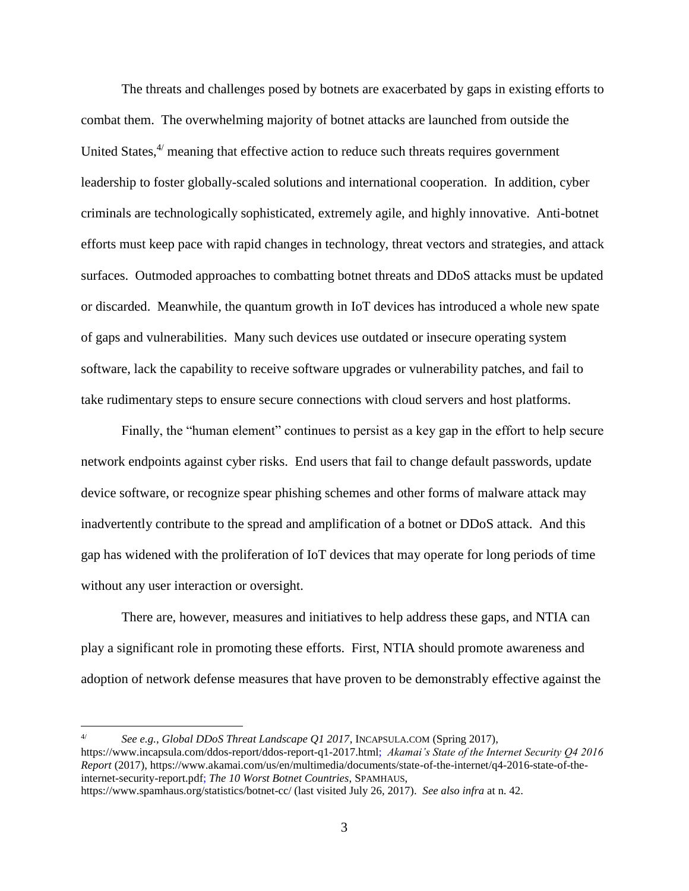The threats and challenges posed by botnets are exacerbated by gaps in existing efforts to combat them. The overwhelming majority of botnet attacks are launched from outside the United States, $4$  meaning that effective action to reduce such threats requires government leadership to foster globally-scaled solutions and international cooperation. In addition, cyber criminals are technologically sophisticated, extremely agile, and highly innovative. Anti-botnet efforts must keep pace with rapid changes in technology, threat vectors and strategies, and attack surfaces. Outmoded approaches to combatting botnet threats and DDoS attacks must be updated or discarded. Meanwhile, the quantum growth in IoT devices has introduced a whole new spate of gaps and vulnerabilities. Many such devices use outdated or insecure operating system software, lack the capability to receive software upgrades or vulnerability patches, and fail to take rudimentary steps to ensure secure connections with cloud servers and host platforms.

Finally, the "human element" continues to persist as a key gap in the effort to help secure network endpoints against cyber risks. End users that fail to change default passwords, update device software, or recognize spear phishing schemes and other forms of malware attack may inadvertently contribute to the spread and amplification of a botnet or DDoS attack. And this gap has widened with the proliferation of IoT devices that may operate for long periods of time without any user interaction or oversight.

There are, however, measures and initiatives to help address these gaps, and NTIA can play a significant role in promoting these efforts. First, NTIA should promote awareness and adoption of network defense measures that have proven to be demonstrably effective against the

See e.g., Global DDoS Threat Landscape Q1 2017, INCAPSULA.COM (Spring 2017), https://www.incapsula.com/ddos-report/ddos-report-q1-2017.html; *Akamai's State of the Internet Security Q4 2016 Report* (2017), https://www.akamai.com/us/en/multimedia/documents/state-of-the-internet/q4-2016-state-of-theinternet-security-report.pdf; *The 10 Worst Botnet Countries*, SPAMHAUS, https://www.spamhaus.org/statistics/botnet-cc/ (last visited July 26, 2017). *See also infra* at n. 42.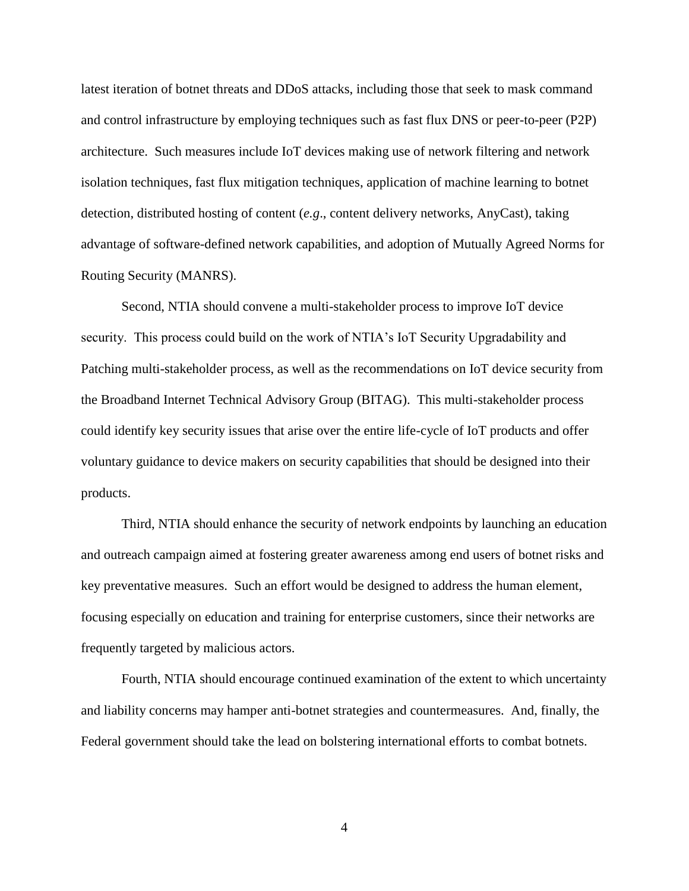latest iteration of botnet threats and DDoS attacks, including those that seek to mask command and control infrastructure by employing techniques such as fast flux DNS or peer-to-peer (P2P) architecture. Such measures include IoT devices making use of network filtering and network isolation techniques, fast flux mitigation techniques, application of machine learning to botnet detection, distributed hosting of content (*e.g*., content delivery networks, AnyCast), taking advantage of software-defined network capabilities, and adoption of Mutually Agreed Norms for Routing Security (MANRS).

Second, NTIA should convene a multi-stakeholder process to improve IoT device security. This process could build on the work of NTIA's IoT Security Upgradability and Patching multi-stakeholder process, as well as the recommendations on IoT device security from the Broadband Internet Technical Advisory Group (BITAG). This multi-stakeholder process could identify key security issues that arise over the entire life-cycle of IoT products and offer voluntary guidance to device makers on security capabilities that should be designed into their products.

Third, NTIA should enhance the security of network endpoints by launching an education and outreach campaign aimed at fostering greater awareness among end users of botnet risks and key preventative measures. Such an effort would be designed to address the human element, focusing especially on education and training for enterprise customers, since their networks are frequently targeted by malicious actors.

Fourth, NTIA should encourage continued examination of the extent to which uncertainty and liability concerns may hamper anti-botnet strategies and countermeasures. And, finally, the Federal government should take the lead on bolstering international efforts to combat botnets.

4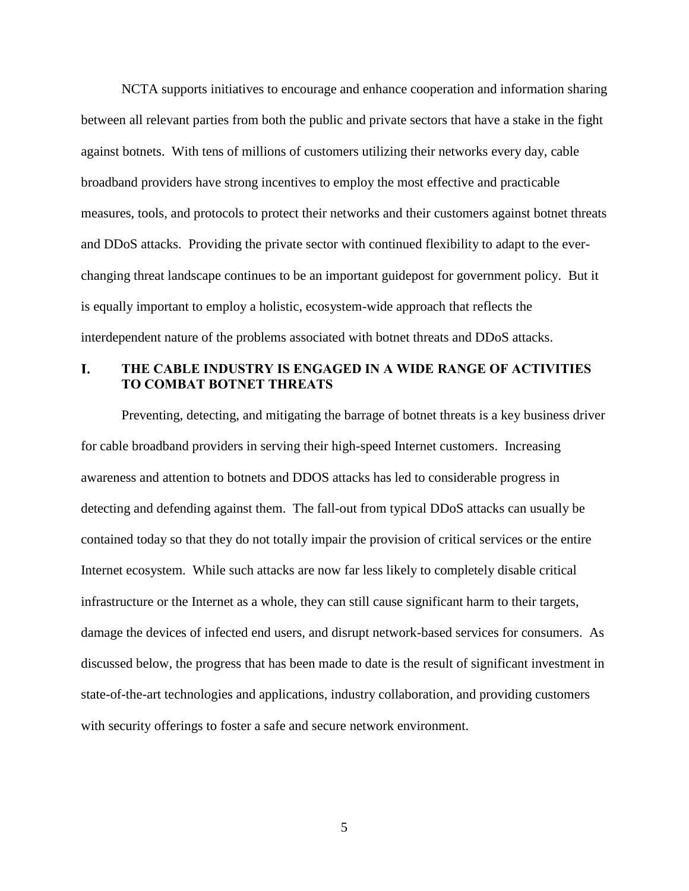NCTA supports initiatives to encourage and enhance cooperation and information sharing between all relevant parties from both the public and private sectors that have a stake in the fight against botnets. With tens of millions of customers utilizing their networks every day, cable broadband providers have strong incentives to employ the most effective and practicable measures, tools, and protocols to protect their networks and their customers against botnet threats and DDoS attacks. Providing the private sector with continued flexibility to adapt to the everchanging threat landscape continues to be an important guidepost for government policy. But it is equally important to employ a holistic, ecosystem-wide approach that reflects the interdependent nature of the problems associated with botnet threats and DDoS attacks.

#### <span id="page-6-0"></span>**THE CABLE INDUSTRY IS ENGAGED IN A WIDE RANGE OF ACTIVITIES**  L. **TO COMBAT BOTNET THREATS**

Preventing, detecting, and mitigating the barrage of botnet threats is a key business driver for cable broadband providers in serving their high-speed Internet customers. Increasing awareness and attention to botnets and DDOS attacks has led to considerable progress in detecting and defending against them. The fall-out from typical DDoS attacks can usually be contained today so that they do not totally impair the provision of critical services or the entire Internet ecosystem. While such attacks are now far less likely to completely disable critical infrastructure or the Internet as a whole, they can still cause significant harm to their targets, damage the devices of infected end users, and disrupt network-based services for consumers. As discussed below, the progress that has been made to date is the result of significant investment in state-of-the-art technologies and applications, industry collaboration, and providing customers with security offerings to foster a safe and secure network environment.

5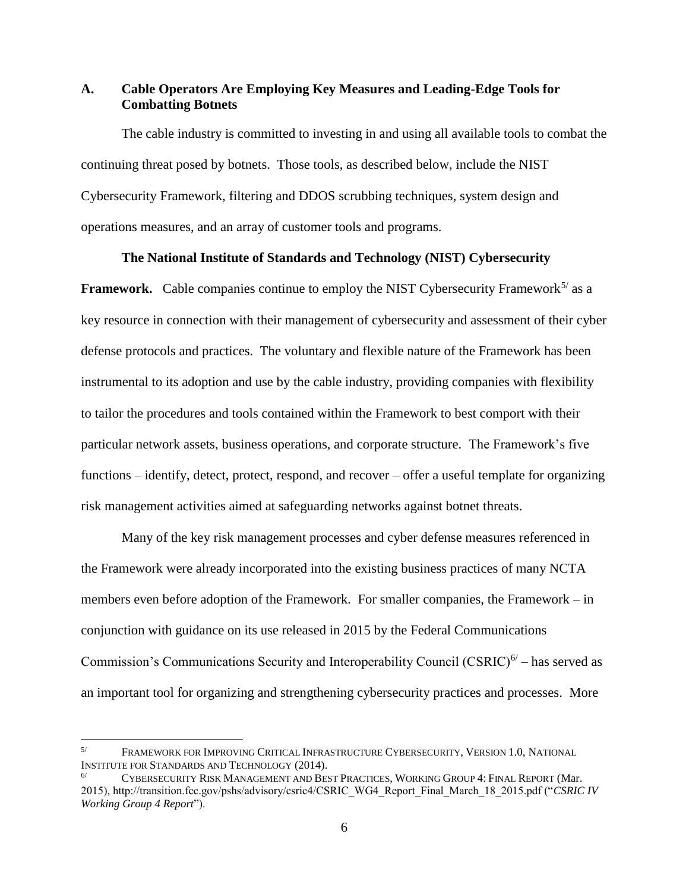# <span id="page-7-0"></span>**A. Cable Operators Are Employing Key Measures and Leading-Edge Tools for Combatting Botnets**

The cable industry is committed to investing in and using all available tools to combat the continuing threat posed by botnets. Those tools, as described below, include the NIST Cybersecurity Framework, filtering and DDOS scrubbing techniques, system design and operations measures, and an array of customer tools and programs.

#### **The National Institute of Standards and Technology (NIST) Cybersecurity**

**Framework.** Cable companies continue to employ the NIST Cybersecurity Framework<sup>5/</sup> as a key resource in connection with their management of cybersecurity and assessment of their cyber defense protocols and practices. The voluntary and flexible nature of the Framework has been instrumental to its adoption and use by the cable industry, providing companies with flexibility to tailor the procedures and tools contained within the Framework to best comport with their particular network assets, business operations, and corporate structure. The Framework's five functions – identify, detect, protect, respond, and recover – offer a useful template for organizing risk management activities aimed at safeguarding networks against botnet threats.

Many of the key risk management processes and cyber defense measures referenced in the Framework were already incorporated into the existing business practices of many NCTA members even before adoption of the Framework. For smaller companies, the Framework – in conjunction with guidance on its use released in 2015 by the Federal Communications Commission's Communications Security and Interoperability Council (CSRIC)<sup>6/</sup> – has served as an important tool for organizing and strengthening cybersecurity practices and processes. More

<sup>5/</sup> FRAMEWORK FOR IMPROVING CRITICAL INFRASTRUCTURE CYBERSECURITY, VERSION 1.0, NATIONAL INSTITUTE FOR STANDARDS AND TECHNOLOGY (2014).

<sup>6/</sup> CYBERSECURITY RISK MANAGEMENT AND BEST PRACTICES, WORKING GROUP 4: FINAL REPORT (Mar. 2015), http://transition.fcc.gov/pshs/advisory/csric4/CSRIC\_WG4\_Report\_Final\_March\_18\_2015.pdf ("*CSRIC IV Working Group 4 Report*").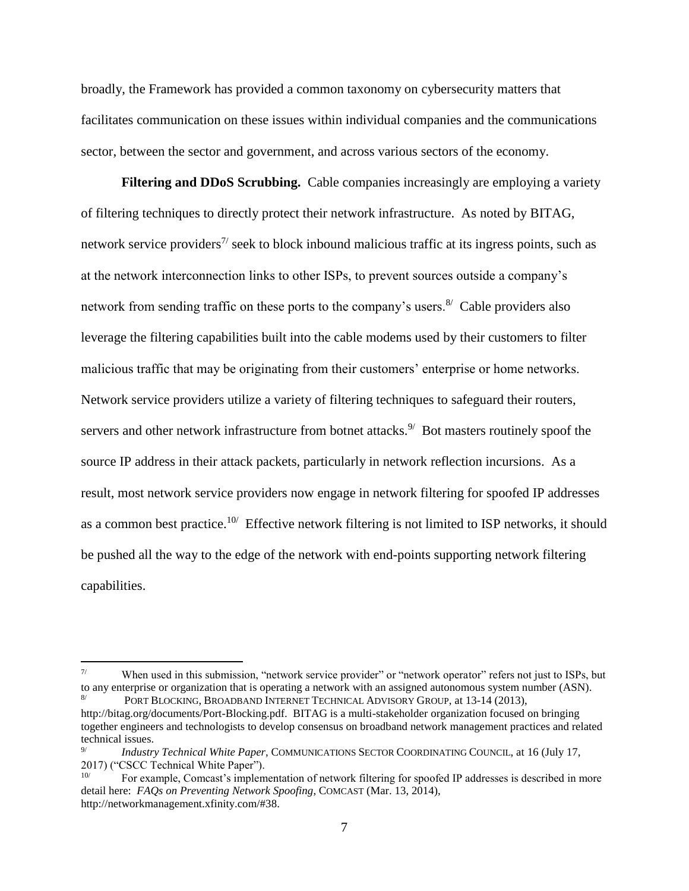broadly, the Framework has provided a common taxonomy on cybersecurity matters that facilitates communication on these issues within individual companies and the communications sector, between the sector and government, and across various sectors of the economy.

**Filtering and DDoS Scrubbing.** Cable companies increasingly are employing a variety of filtering techniques to directly protect their network infrastructure. As noted by BITAG, network service providers<sup> $7/$ </sup> seek to block inbound malicious traffic at its ingress points, such as at the network interconnection links to other ISPs, to prevent sources outside a company's network from sending traffic on these ports to the company's users.<sup>8/</sup> Cable providers also leverage the filtering capabilities built into the cable modems used by their customers to filter malicious traffic that may be originating from their customers' enterprise or home networks. Network service providers utilize a variety of filtering techniques to safeguard their routers, servers and other network infrastructure from botnet attacks. $9'$  Bot masters routinely spoof the source IP address in their attack packets, particularly in network reflection incursions. As a result, most network service providers now engage in network filtering for spoofed IP addresses as a common best practice.<sup>10/</sup> Effective network filtering is not limited to ISP networks, it should be pushed all the way to the edge of the network with end-points supporting network filtering capabilities.

When used in this submission, "network service provider" or "network operator" refers not just to ISPs, but to any enterprise or organization that is operating a network with an assigned autonomous system number (ASN). PORT BLOCKING, BROADBAND INTERNET TECHNICAL ADVISORY GROUP, at 13-14 (2013),

http://bitag.org/documents/Port-Blocking.pdf. BITAG is a multi-stakeholder organization focused on bringing together engineers and technologists to develop consensus on broadband network management practices and related technical issues.

<sup>9/</sup> *Industry Technical White Paper*, COMMUNICATIONS SECTOR COORDINATING COUNCIL, at 16 (July 17, 2017) ("CSCC Technical White Paper").

<sup>10/</sup> For example, Comcast's implementation of network filtering for spoofed IP addresses is described in more detail here: *FAQs on Preventing Network Spoofing*, COMCAST (Mar. 13, 2014), http://networkmanagement.xfinity.com/#38.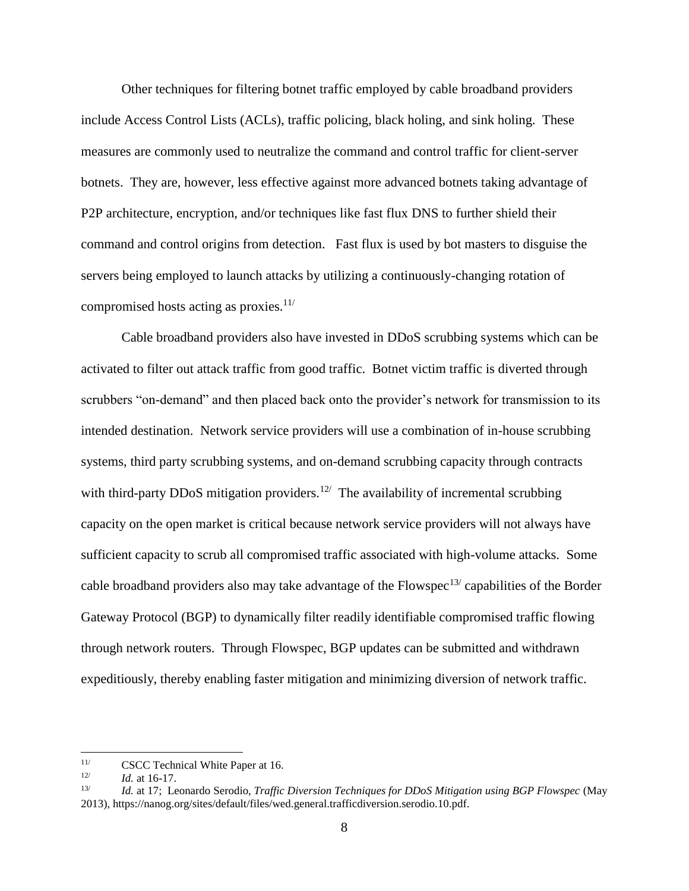Other techniques for filtering botnet traffic employed by cable broadband providers include Access Control Lists (ACLs), traffic policing, black holing, and sink holing. These measures are commonly used to neutralize the command and control traffic for client-server botnets. They are, however, less effective against more advanced botnets taking advantage of P2P architecture, encryption, and/or techniques like fast flux DNS to further shield their command and control origins from detection. Fast flux is used by bot masters to disguise the servers being employed to launch attacks by utilizing a continuously-changing rotation of compromised hosts acting as proxies.<sup>11/</sup>

Cable broadband providers also have invested in DDoS scrubbing systems which can be activated to filter out attack traffic from good traffic. Botnet victim traffic is diverted through scrubbers "on-demand" and then placed back onto the provider's network for transmission to its intended destination. Network service providers will use a combination of in-house scrubbing systems, third party scrubbing systems, and on-demand scrubbing capacity through contracts with third-party DDoS mitigation providers.<sup>12/</sup> The availability of incremental scrubbing capacity on the open market is critical because network service providers will not always have sufficient capacity to scrub all compromised traffic associated with high-volume attacks. Some cable broadband providers also may take advantage of the Flowspec<sup>13/</sup> capabilities of the Border Gateway Protocol (BGP) to dynamically filter readily identifiable compromised traffic flowing through network routers. Through Flowspec, BGP updates can be submitted and withdrawn expeditiously, thereby enabling faster mitigation and minimizing diversion of network traffic.

<sup>&</sup>lt;sup>11/</sup> CSCC Technical White Paper at 16.

<sup>12/</sup> *Id.* at 16-17.

<sup>13/</sup> *Id.* at 17; Leonardo Serodio, *Traffic Diversion Techniques for DDoS Mitigation using BGP Flowspec* (May 2013), https://nanog.org/sites/default/files/wed.general.trafficdiversion.serodio.10.pdf.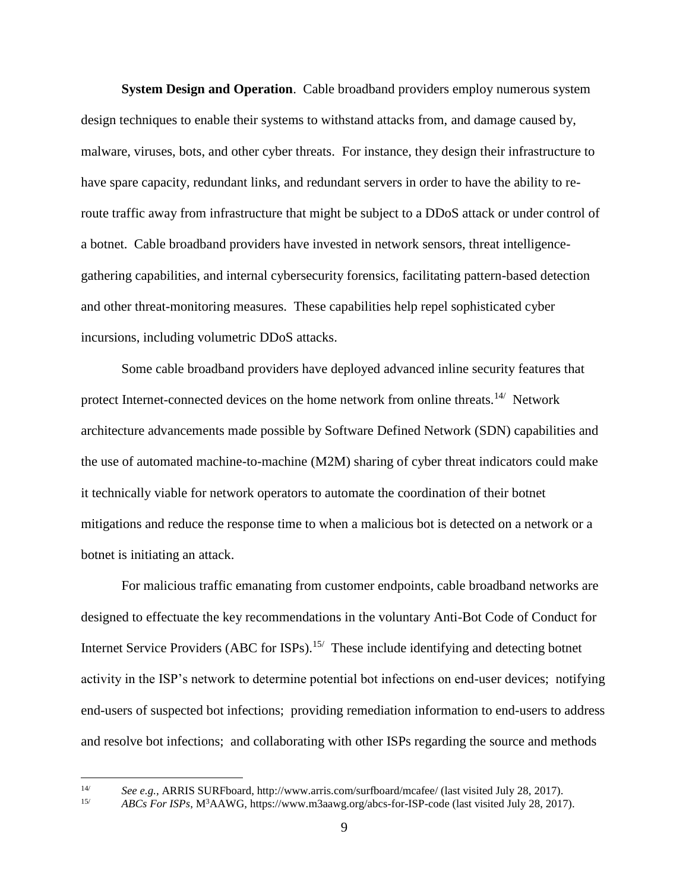**System Design and Operation**. Cable broadband providers employ numerous system design techniques to enable their systems to withstand attacks from, and damage caused by, malware, viruses, bots, and other cyber threats. For instance, they design their infrastructure to have spare capacity, redundant links, and redundant servers in order to have the ability to reroute traffic away from infrastructure that might be subject to a DDoS attack or under control of a botnet. Cable broadband providers have invested in network sensors, threat intelligencegathering capabilities, and internal cybersecurity forensics, facilitating pattern-based detection and other threat-monitoring measures. These capabilities help repel sophisticated cyber incursions, including volumetric DDoS attacks.

Some cable broadband providers have deployed advanced inline security features that protect Internet-connected devices on the home network from online threats.<sup>14/</sup> Network architecture advancements made possible by Software Defined Network (SDN) capabilities and the use of automated machine-to-machine (M2M) sharing of cyber threat indicators could make it technically viable for network operators to automate the coordination of their botnet mitigations and reduce the response time to when a malicious bot is detected on a network or a botnet is initiating an attack.

For malicious traffic emanating from customer endpoints, cable broadband networks are designed to effectuate the key recommendations in the voluntary Anti-Bot Code of Conduct for Internet Service Providers (ABC for ISPs).<sup>15/</sup> These include identifying and detecting botnet activity in the ISP's network to determine potential bot infections on end-user devices; notifying end-users of suspected bot infections; providing remediation information to end-users to address and resolve bot infections; and collaborating with other ISPs regarding the source and methods

 $14/$ 

<sup>14/</sup> *See e.g.*, ARRIS SURFboard, http://www.arris.com/surfboard/mcafee/ (last visited July 28, 2017).<br>15/ **ARCs For ISPs** M<sup>3</sup>A AWG, https://www.m3aawg.org/abcs-for-ISP-code (last visited July 28, 2017).

<sup>15/</sup> *ABCs For ISPs*, M<sup>3</sup>AAWG, https://www.m3aawg.org/abcs-for-ISP-code (last visited July 28, 2017).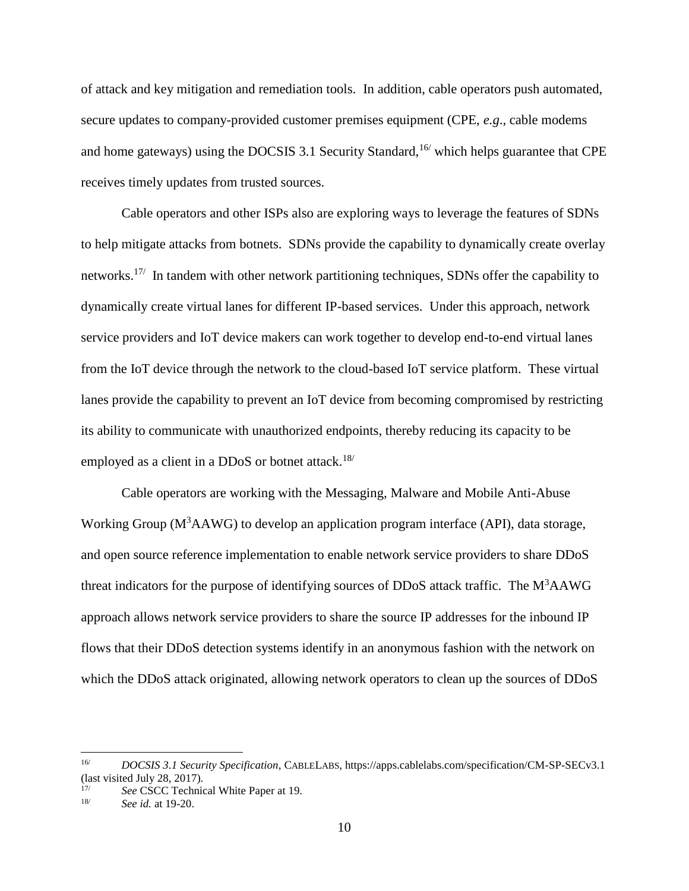of attack and key mitigation and remediation tools. In addition, cable operators push automated, secure updates to company-provided customer premises equipment (CPE, *e.g*., cable modems and home gateways) using the DOCSIS 3.1 Security Standard,<sup>16/</sup> which helps guarantee that CPE receives timely updates from trusted sources.

Cable operators and other ISPs also are exploring ways to leverage the features of SDNs to help mitigate attacks from botnets. SDNs provide the capability to dynamically create overlay networks.<sup>17/</sup> In tandem with other network partitioning techniques, SDNs offer the capability to dynamically create virtual lanes for different IP-based services. Under this approach, network service providers and IoT device makers can work together to develop end-to-end virtual lanes from the IoT device through the network to the cloud-based IoT service platform. These virtual lanes provide the capability to prevent an IoT device from becoming compromised by restricting its ability to communicate with unauthorized endpoints, thereby reducing its capacity to be employed as a client in a DDoS or botnet attack.<sup>18/</sup>

Cable operators are working with the Messaging, Malware and Mobile Anti-Abuse Working Group ( $M<sup>3</sup>AAWG$ ) to develop an application program interface (API), data storage, and open source reference implementation to enable network service providers to share DDoS threat indicators for the purpose of identifying sources of DDoS attack traffic. The  $M<sup>3</sup>AAWG$ approach allows network service providers to share the source IP addresses for the inbound IP flows that their DDoS detection systems identify in an anonymous fashion with the network on which the DDoS attack originated, allowing network operators to clean up the sources of DDoS

<sup>16/</sup> *DOCSIS 3.1 Security Specification*, CABLELABS, https://apps.cablelabs.com/specification/CM-SP-SECv3.1 (last visited July 28, 2017).

<sup>&</sup>lt;sup>17/</sup> *See* CSCC Technical White Paper at 19.<br><sup>18/</sup> See id. at 19.20

See id. at 19-20.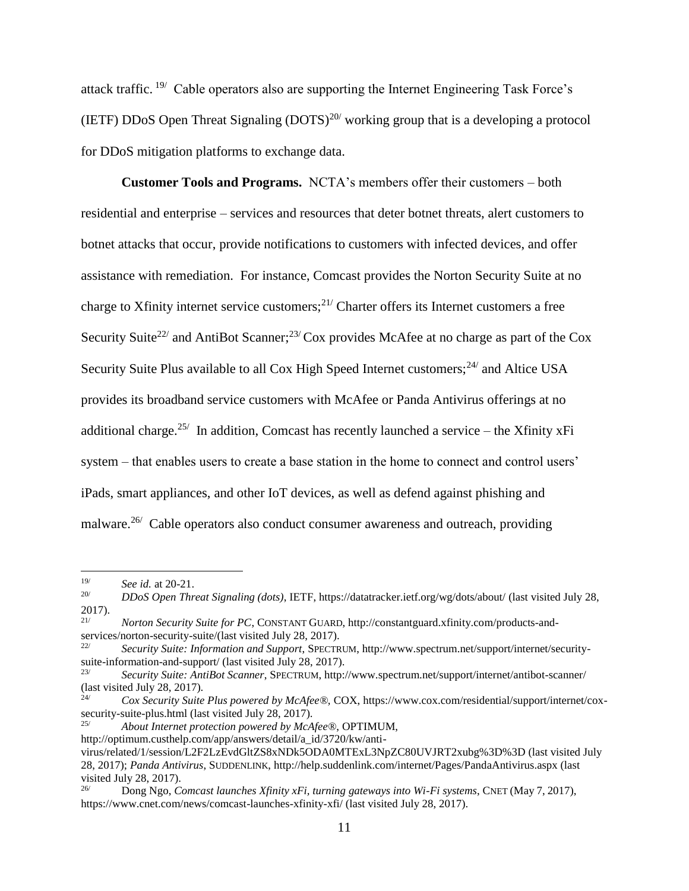attack traffic.<sup>19/</sup> Cable operators also are supporting the Internet Engineering Task Force's (IETF) DDoS Open Threat Signaling  $(DOTS)^{20/2}$  working group that is a developing a protocol for DDoS mitigation platforms to exchange data.

**Customer Tools and Programs.** NCTA's members offer their customers – both residential and enterprise – services and resources that deter botnet threats, alert customers to botnet attacks that occur, provide notifications to customers with infected devices, and offer assistance with remediation. For instance, Comcast provides the Norton Security Suite at no charge to Xfinity internet service customers;<sup>21/</sup> Charter offers its Internet customers a free Security Suite<sup>22/</sup> and AntiBot Scanner;<sup>23/</sup> Cox provides McAfee at no charge as part of the Cox Security Suite Plus available to all Cox High Speed Internet customers;<sup>24/</sup> and Altice USA provides its broadband service customers with McAfee or Panda Antivirus offerings at no additional charge.<sup>25/</sup> In addition, Comcast has recently launched a service – the Xfinity xFi system – that enables users to create a base station in the home to connect and control users' iPads, smart appliances, and other IoT devices, as well as defend against phishing and malware.<sup>26/</sup> Cable operators also conduct consumer awareness and outreach, providing

 $\overline{a}$ 

25/ *About Internet protection powered by McAfee®*, OPTIMUM,

http://optimum.custhelp.com/app/answers/detail/a\_id/3720/kw/anti-

<sup>&</sup>lt;sup>19/</sup> *See id.* at 20-21.<br><sup>20/</sup> *DDoS Open Thr.* 

<sup>20/</sup> *DDoS Open Threat Signaling (dots)*, IETF[, https://datatracker.ietf.org/wg/dots/about/](https://datatracker.ietf.org/wg/dots/about/) (last visited July 28,  $2017$ ).

<sup>21/</sup> *Norton Security Suite for PC*, CONSTANT GUARD, http://constantguard.xfinity.com/products-andservices/norton-security-suite/(last visited July 28, 2017).

<sup>22/</sup> *Security Suite: Information and Support*, SPECTRUM, http://www.spectrum.net/support/internet/securitysuite-information-and-support/ (last visited July 28, 2017).

<sup>23/</sup> *Security Suite: AntiBot Scanner*, SPECTRUM, http://www.spectrum.net/support/internet/antibot-scanner/ (last visited July 28, 2017).

<sup>24/</sup> *Cox Security Suite Plus powered by McAfee®,* COX, https://www.cox.com/residential/support/internet/coxsecurity-suite-plus.html (last visited July 28, 2017).

virus/related/1/session/L2F2LzEvdGltZS8xNDk5ODA0MTExL3NpZC80UVJRT2xubg%3D%3D (last visited July 28, 2017); *Panda Antivirus*, SUDDENLINK, http://help.suddenlink.com/internet/Pages/PandaAntivirus.aspx (last visited July 28, 2017).<br> $\frac{26}{1000}$  Depa Neg G

<sup>26/</sup> Dong Ngo, *Comcast launches Xfinity xFi, turning gateways into Wi-Fi systems*, CNET (May 7, 2017), https://www.cnet.com/news/comcast-launches-xfinity-xfi/ (last visited July 28, 2017).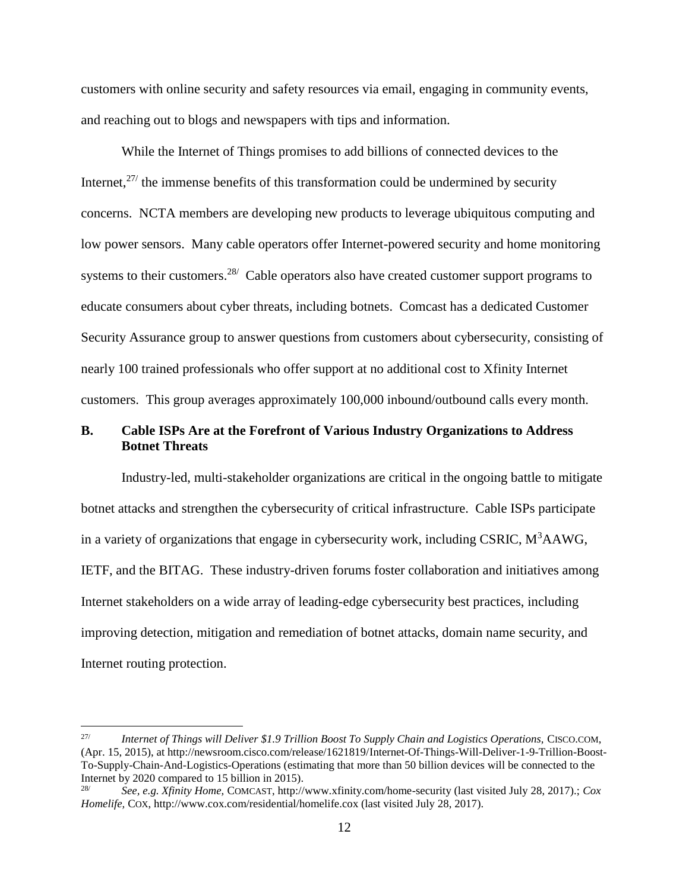customers with online security and safety resources via email, engaging in community events, and reaching out to blogs and newspapers with tips and information.

While the Internet of Things promises to add billions of connected devices to the Internet,  $27/$  the immense benefits of this transformation could be undermined by security concerns. NCTA members are developing new products to leverage ubiquitous computing and low power sensors. Many cable operators offer Internet-powered security and home monitoring systems to their customers.<sup>28/</sup> Cable operators also have created customer support programs to educate consumers about cyber threats, including botnets. Comcast has a dedicated Customer Security Assurance group to answer questions from customers about cybersecurity, consisting of nearly 100 trained professionals who offer support at no additional cost to Xfinity Internet customers. This group averages approximately 100,000 inbound/outbound calls every month.

# <span id="page-13-0"></span>**B. Cable ISPs Are at the Forefront of Various Industry Organizations to Address Botnet Threats**

Industry-led, multi-stakeholder organizations are critical in the ongoing battle to mitigate botnet attacks and strengthen the cybersecurity of critical infrastructure. Cable ISPs participate in a variety of organizations that engage in cybersecurity work, including CSRIC,  $M<sup>3</sup>AAWG$ , IETF, and the BITAG. These industry-driven forums foster collaboration and initiatives among Internet stakeholders on a wide array of leading-edge cybersecurity best practices, including improving detection, mitigation and remediation of botnet attacks, domain name security, and Internet routing protection.

<sup>27/</sup> *Internet of Things will Deliver \$1.9 Trillion Boost To Supply Chain and Logistics Operations,* CISCO.COM, (Apr. 15, 2015), at http://newsroom.cisco.com/release/1621819/Internet-Of-Things-Will-Deliver-1-9-Trillion-Boost-To-Supply-Chain-And-Logistics-Operations (estimating that more than 50 billion devices will be connected to the Internet by 2020 compared to 15 billion in 2015).<br><sup>28/</sup><br>See a.g. *Vinity Hame* COMOAST, http://

<sup>28/</sup> *See, e.g. Xfinity Home,* COMCAST, http://www.xfinity.com/home-security (last visited July 28, 2017).; *Cox Homelife,* COX, http://www.cox.com/residential/homelife.cox (last visited July 28, 2017).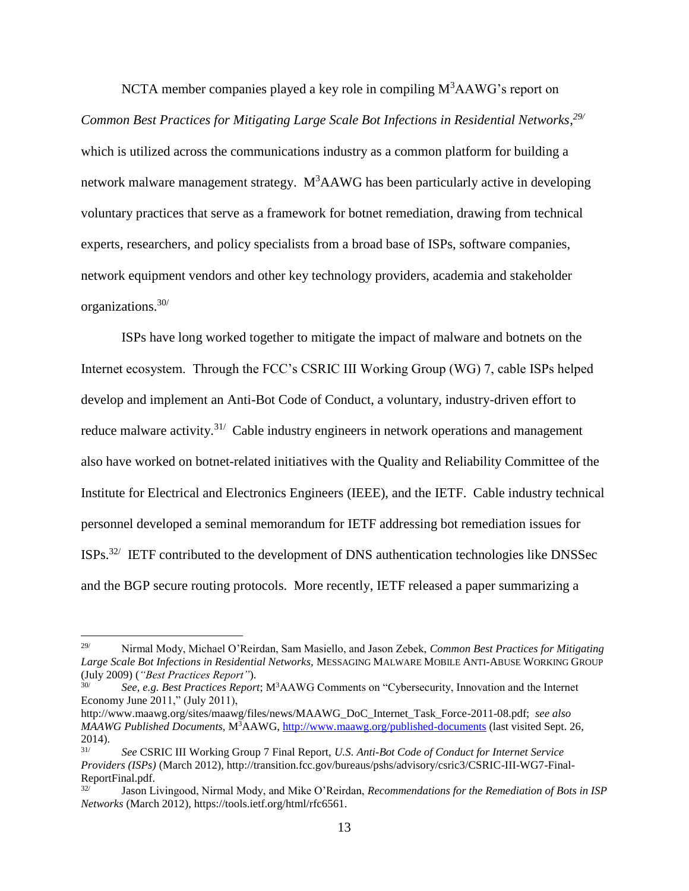NCTA member companies played a key role in compiling  $M<sup>3</sup>AAWG$ 's report on *Common Best Practices for Mitigating Large Scale Bot Infections in Residential Networks*, *29/* which is utilized across the communications industry as a common platform for building a network malware management strategy.  $M<sup>3</sup>AAWG$  has been particularly active in developing voluntary practices that serve as a framework for botnet remediation, drawing from technical experts, researchers, and policy specialists from a broad base of ISPs, software companies, network equipment vendors and other key technology providers, academia and stakeholder organizations.30/

ISPs have long worked together to mitigate the impact of malware and botnets on the Internet ecosystem. Through the FCC's CSRIC III Working Group (WG) 7, cable ISPs helped develop and implement an Anti-Bot Code of Conduct, a voluntary, industry-driven effort to reduce malware activity.<sup>31/</sup> Cable industry engineers in network operations and management also have worked on botnet-related initiatives with the Quality and Reliability Committee of the Institute for Electrical and Electronics Engineers (IEEE), and the IETF. Cable industry technical personnel developed a seminal memorandum for IETF addressing bot remediation issues for  $ISPs.$ <sup>32/</sup> IETF contributed to the development of DNS authentication technologies like DNSSec and the BGP secure routing protocols. More recently, IETF released a paper summarizing a

<sup>29/</sup> Nirmal Mody, Michael O'Reirdan, Sam Masiello, and Jason Zebek, *Common Best Practices for Mitigating Large Scale Bot Infections in Residential Networks,* MESSAGING MALWARE MOBILE ANTI-ABUSE WORKING GROUP (July 2009) (*"Best Practices Report"*).

<sup>30/</sup> *See, e.g. Best Practices Report*; M<sup>3</sup>AAWG Comments on "Cybersecurity, Innovation and the Internet Economy June 2011," (July 2011),

http://www.maawg.org/sites/maawg/files/news/MAAWG\_DoC\_Internet\_Task\_Force-2011-08.pdf; *see also MAAWG Published Documents,* M<sup>3</sup>AAWG, <http://www.maawg.org/published-documents> (last visited Sept. 26,  $2014$ ).

<sup>31/</sup> *See* CSRIC III Working Group 7 Final Report, *U.S. Anti-Bot Code of Conduct for Internet Service Providers (ISPs)* (March 2012), http://transition.fcc.gov/bureaus/pshs/advisory/csric3/CSRIC-III-WG7-Final-ReportFinal.pdf.

<sup>32/</sup> Jason Livingood, Nirmal Mody, and Mike O'Reirdan, *Recommendations for the Remediation of Bots in ISP Networks* (March 2012), https://tools.ietf.org/html/rfc6561.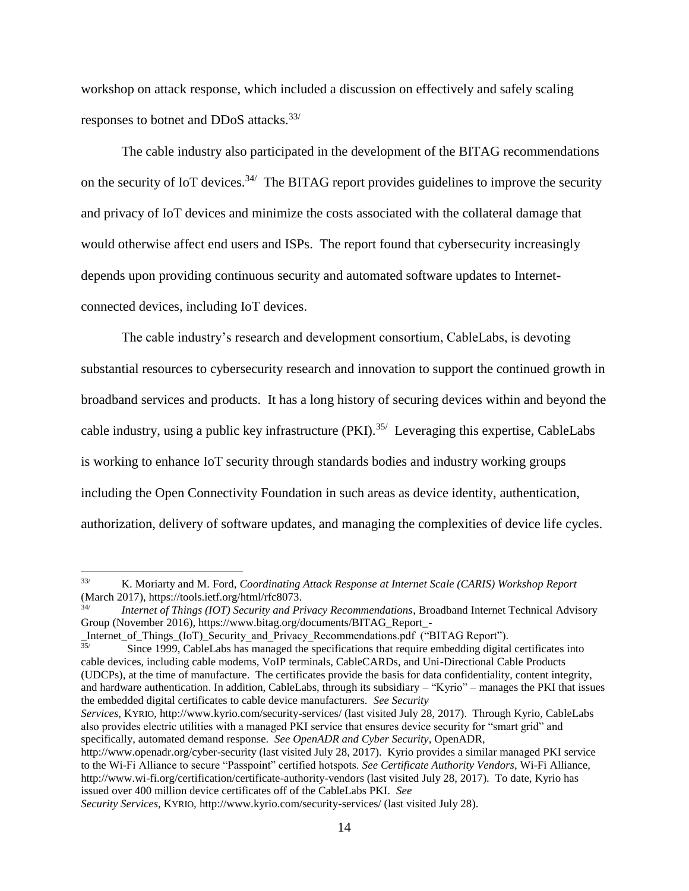workshop on attack response, which included a discussion on effectively and safely scaling responses to botnet and DDoS attacks.<sup>33/</sup>

The cable industry also participated in the development of the BITAG recommendations on the security of IoT devices.<sup>34/</sup> The BITAG report provides guidelines to improve the security and privacy of IoT devices and minimize the costs associated with the collateral damage that would otherwise affect end users and ISPs. The report found that cybersecurity increasingly depends upon providing continuous security and automated software updates to Internetconnected devices, including IoT devices.

The cable industry's research and development consortium, CableLabs, is devoting substantial resources to cybersecurity research and innovation to support the continued growth in broadband services and products. It has a long history of securing devices within and beyond the cable industry, using a public key infrastructure  $(PKI)$ .<sup>35/</sup> Leveraging this expertise, CableLabs is working to enhance IoT security through standards bodies and industry working groups including the Open Connectivity Foundation in such areas as device identity, authentication, authorization, delivery of software updates, and managing the complexities of device life cycles.

*Services,* KYRIO, http://www.kyrio.com/security-services/ (last visited July 28, 2017). Through Kyrio, CableLabs also provides electric utilities with a managed PKI service that ensures device security for "smart grid" and specifically, automated demand response. *See OpenADR and Cyber Security*, OpenADR,

 $33/$ 33/ K. Moriarty and M. Ford, *Coordinating Attack Response at Internet Scale (CARIS) Workshop Report* (March 2017), https://tools.ietf.org/html/rfc8073.

<sup>34/</sup> *Internet of Things (IOT) Security and Privacy Recommendations*, Broadband Internet Technical Advisory Group (November 2016), https://www.bitag.org/documents/BITAG\_Report\_-

\_Internet\_of\_Things\_(IoT)\_Security\_and\_Privacy\_Recommendations.pdf ("BITAG Report"). 35/

Since 1999, CableLabs has managed the specifications that require embedding digital certificates into cable devices, including cable modems, VoIP terminals, CableCARDs, and Uni-Directional Cable Products (UDCPs), at the time of manufacture. The certificates provide the basis for data confidentiality, content integrity, and hardware authentication. In addition, CableLabs, through its subsidiary – "Kyrio" – manages the PKI that issues the embedded digital certificates to cable device manufacturers. *See Security*

http://www.openadr.org/cyber-security (last visited July 28, 2017). Kyrio provides a similar managed PKI service to the Wi-Fi Alliance to secure "Passpoint" certified hotspots. *See Certificate Authority Vendors*, Wi-Fi Alliance, http://www.wi-fi.org/certification/certificate-authority-vendors (last visited July 28, 2017). To date, Kyrio has issued over 400 million device certificates off of the CableLabs PKI. *See*

*Security Services,* KYRIO, http://www.kyrio.com/security-services/ (last visited July 28).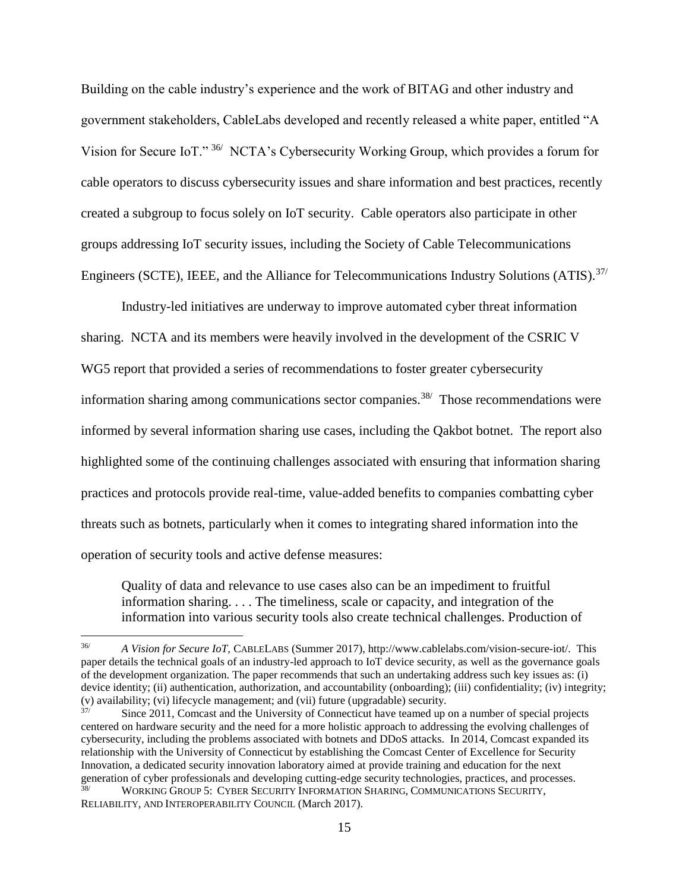Building on the cable industry's experience and the work of BITAG and other industry and government stakeholders, CableLabs developed and recently released a white paper, entitled "A Vision for Secure IoT." <sup>36/</sup> NCTA's Cybersecurity Working Group, which provides a forum for cable operators to discuss cybersecurity issues and share information and best practices, recently created a subgroup to focus solely on IoT security. Cable operators also participate in other groups addressing IoT security issues, including the Society of Cable Telecommunications Engineers (SCTE), IEEE, and the Alliance for Telecommunications Industry Solutions (ATIS).<sup>37/</sup>

Industry-led initiatives are underway to improve automated cyber threat information sharing. NCTA and its members were heavily involved in the development of the CSRIC V WG5 report that provided a series of recommendations to foster greater cybersecurity information sharing among communications sector companies.<sup>38/</sup> Those recommendations were informed by several information sharing use cases, including the Qakbot botnet. The report also highlighted some of the continuing challenges associated with ensuring that information sharing practices and protocols provide real-time, value-added benefits to companies combatting cyber threats such as botnets, particularly when it comes to integrating shared information into the operation of security tools and active defense measures:

Quality of data and relevance to use cases also can be an impediment to fruitful information sharing. . . . The timeliness, scale or capacity, and integration of the information into various security tools also create technical challenges. Production of

<sup>36/</sup> *A Vision for Secure IoT,* CABLELABS (Summer 2017), http://www.cablelabs.com/vision-secure-iot/. This paper details the technical goals of an industry-led approach to IoT device security, as well as the governance goals of the development organization. The paper recommends that such an undertaking address such key issues as: (i) device identity; (ii) authentication, authorization, and accountability (onboarding); (iii) confidentiality; (iv) integrity; (v) availability; (vi) lifecycle management; and (vii) future (upgradable) security.

Since 2011, Comcast and the University of Connecticut have teamed up on a number of special projects centered on hardware security and the need for a more holistic approach to addressing the evolving challenges of cybersecurity, including the problems associated with botnets and DDoS attacks. In 2014, Comcast expanded its relationship with the University of Connecticut by establishing the Comcast Center of Excellence for Security Innovation, a dedicated security innovation laboratory aimed at provide training and education for the next generation of cyber professionals and developing cutting-edge security technologies, practices, and processes.

<sup>38/</sup> WORKING GROUP 5: CYBER SECURITY INFORMATION SHARING, COMMUNICATIONS SECURITY, RELIABILITY, AND INTEROPERABILITY COUNCIL (March 2017).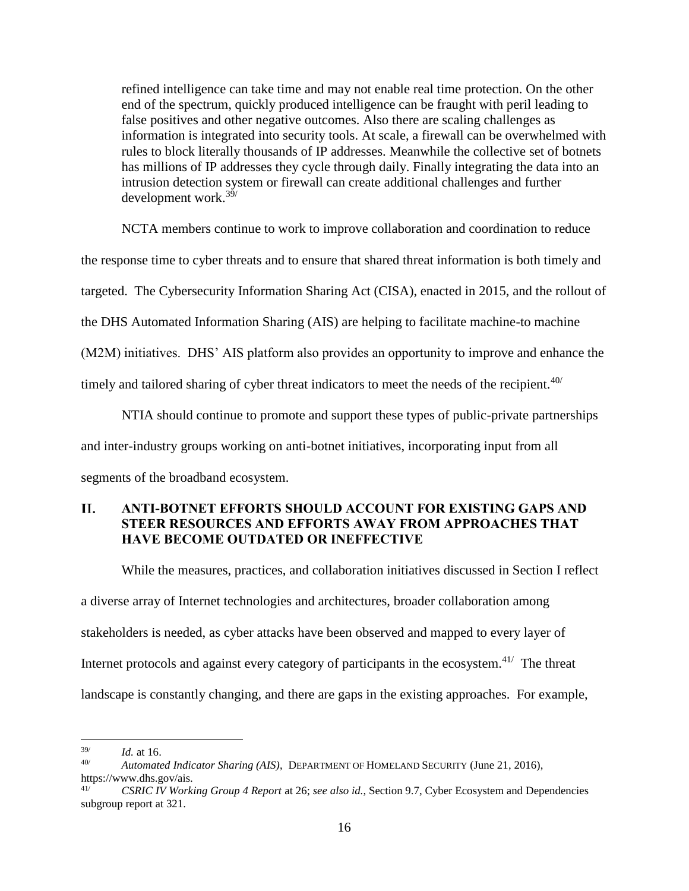refined intelligence can take time and may not enable real time protection. On the other end of the spectrum, quickly produced intelligence can be fraught with peril leading to false positives and other negative outcomes. Also there are scaling challenges as information is integrated into security tools. At scale, a firewall can be overwhelmed with rules to block literally thousands of IP addresses. Meanwhile the collective set of botnets has millions of IP addresses they cycle through daily. Finally integrating the data into an intrusion detection system or firewall can create additional challenges and further development work.<sup>39/</sup>

NCTA members continue to work to improve collaboration and coordination to reduce the response time to cyber threats and to ensure that shared threat information is both timely and targeted. The Cybersecurity Information Sharing Act (CISA), enacted in 2015, and the rollout of the DHS Automated Information Sharing (AIS) are helping to facilitate machine-to machine (M2M) initiatives. DHS' AIS platform also provides an opportunity to improve and enhance the timely and tailored sharing of cyber threat indicators to meet the needs of the recipient. $40/$ 

NTIA should continue to promote and support these types of public-private partnerships and inter-industry groups working on anti-botnet initiatives, incorporating input from all segments of the broadband ecosystem.

#### <span id="page-17-0"></span>II. **ANTI-BOTNET EFFORTS SHOULD ACCOUNT FOR EXISTING GAPS AND STEER RESOURCES AND EFFORTS AWAY FROM APPROACHES THAT HAVE BECOME OUTDATED OR INEFFECTIVE**

While the measures, practices, and collaboration initiatives discussed in Section I reflect a diverse array of Internet technologies and architectures, broader collaboration among stakeholders is needed, as cyber attacks have been observed and mapped to every layer of Internet protocols and against every category of participants in the ecosystem.<sup>41/</sup> The threat landscape is constantly changing, and there are gaps in the existing approaches. For example,

<sup>39/</sup> *Id.* at 16.

<sup>40/</sup> *Automated Indicator Sharing (AIS)*, DEPARTMENT OF HOMELAND SECURITY (June 21, 2016), https://www.dhs.gov/ais.

<sup>41/</sup> *CSRIC IV Working Group 4 Report* at 26; *see also id.*, Section 9.7, Cyber Ecosystem and Dependencies subgroup report at 321.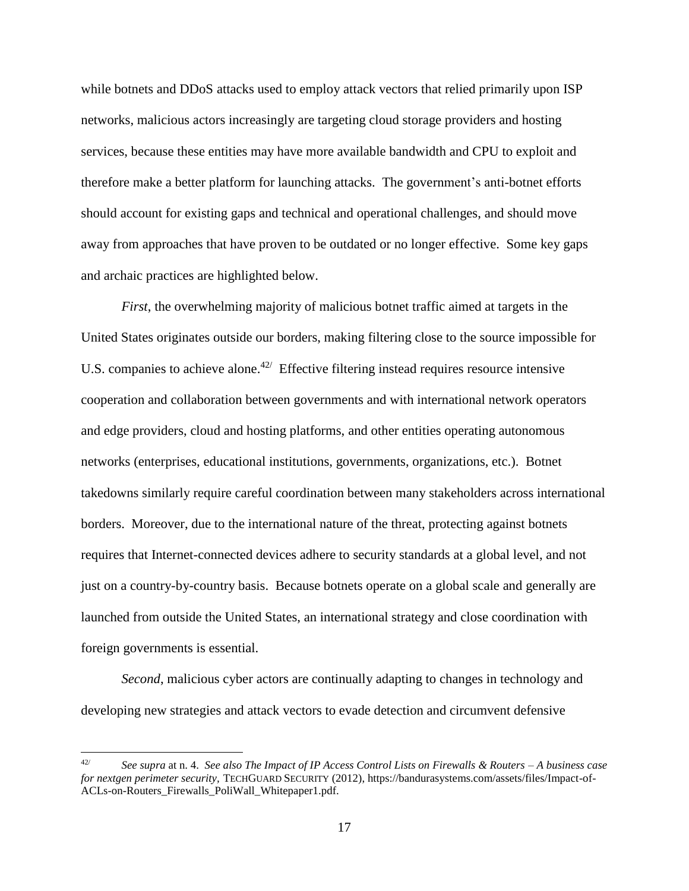while botnets and DDoS attacks used to employ attack vectors that relied primarily upon ISP networks, malicious actors increasingly are targeting cloud storage providers and hosting services, because these entities may have more available bandwidth and CPU to exploit and therefore make a better platform for launching attacks. The government's anti-botnet efforts should account for existing gaps and technical and operational challenges, and should move away from approaches that have proven to be outdated or no longer effective. Some key gaps and archaic practices are highlighted below.

*First*, the overwhelming majority of malicious botnet traffic aimed at targets in the United States originates outside our borders, making filtering close to the source impossible for U.S. companies to achieve alone. $42$  Effective filtering instead requires resource intensive cooperation and collaboration between governments and with international network operators and edge providers, cloud and hosting platforms, and other entities operating autonomous networks (enterprises, educational institutions, governments, organizations, etc.). Botnet takedowns similarly require careful coordination between many stakeholders across international borders. Moreover, due to the international nature of the threat, protecting against botnets requires that Internet-connected devices adhere to security standards at a global level, and not just on a country-by-country basis. Because botnets operate on a global scale and generally are launched from outside the United States, an international strategy and close coordination with foreign governments is essential.

*Second*, malicious cyber actors are continually adapting to changes in technology and developing new strategies and attack vectors to evade detection and circumvent defensive

<sup>42/</sup> *See supra* at n. 4. *See also The Impact of IP Access Control Lists on Firewalls & Routers – A business case for nextgen perimeter security,* TECHGUARD SECURITY (2012), https://bandurasystems.com/assets/files/Impact-of-ACLs-on-Routers\_Firewalls\_PoliWall\_Whitepaper1.pdf.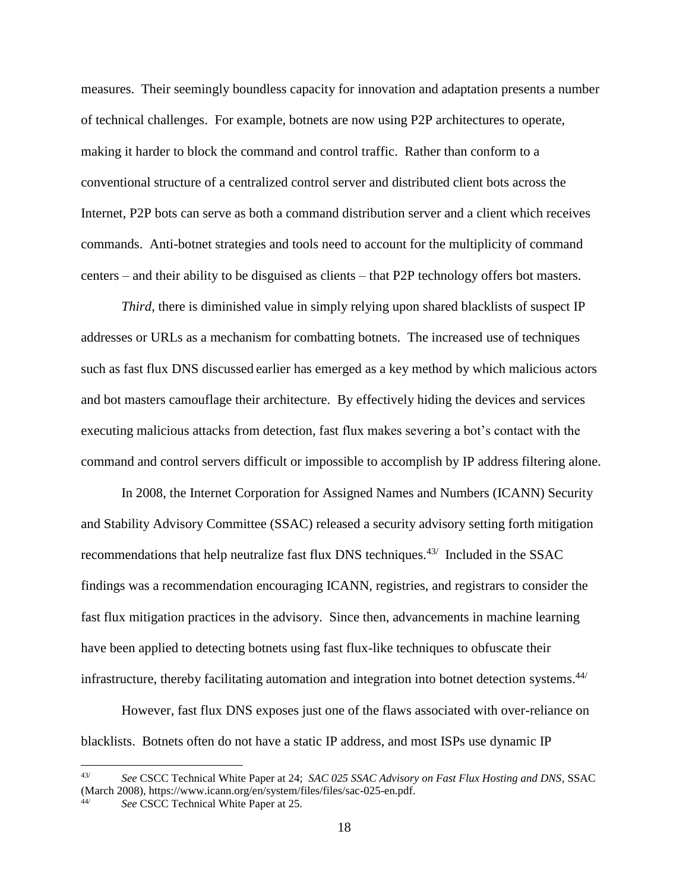measures. Their seemingly boundless capacity for innovation and adaptation presents a number of technical challenges. For example, botnets are now using P2P architectures to operate, making it harder to block the command and control traffic. Rather than conform to a conventional structure of a centralized control server and distributed client bots across the Internet, P2P bots can serve as both a command distribution server and a client which receives commands. Anti-botnet strategies and tools need to account for the multiplicity of command centers – and their ability to be disguised as clients – that P2P technology offers bot masters.

*Third*, there is diminished value in simply relying upon shared blacklists of suspect IP addresses or URLs as a mechanism for combatting botnets. The increased use of techniques such as fast flux DNS discussed earlier has emerged as a key method by which malicious actors and bot masters camouflage their architecture. By effectively hiding the devices and services executing malicious attacks from detection, fast flux makes severing a bot's contact with the command and control servers difficult or impossible to accomplish by IP address filtering alone.

In 2008, the Internet Corporation for Assigned Names and Numbers (ICANN) Security and Stability Advisory Committee (SSAC) released a security advisory setting forth mitigation recommendations that help neutralize fast flux DNS techniques.<sup>43/</sup> Included in the SSAC findings was a recommendation encouraging ICANN, registries, and registrars to consider the fast flux mitigation practices in the advisory. Since then, advancements in machine learning have been applied to detecting botnets using fast flux-like techniques to obfuscate their infrastructure, thereby facilitating automation and integration into botnet detection systems.<sup>44/</sup>

However, fast flux DNS exposes just one of the flaws associated with over-reliance on blacklists. Botnets often do not have a static IP address, and most ISPs use dynamic IP

<sup>43/</sup> *See* CSCC Technical White Paper at 24; *SAC 025 SSAC Advisory on Fast Flux Hosting and DNS*, SSAC (March 2008), https://www.icann.org/en/system/files/files/sac-025-en.pdf.

See CSCC Technical White Paper at 25.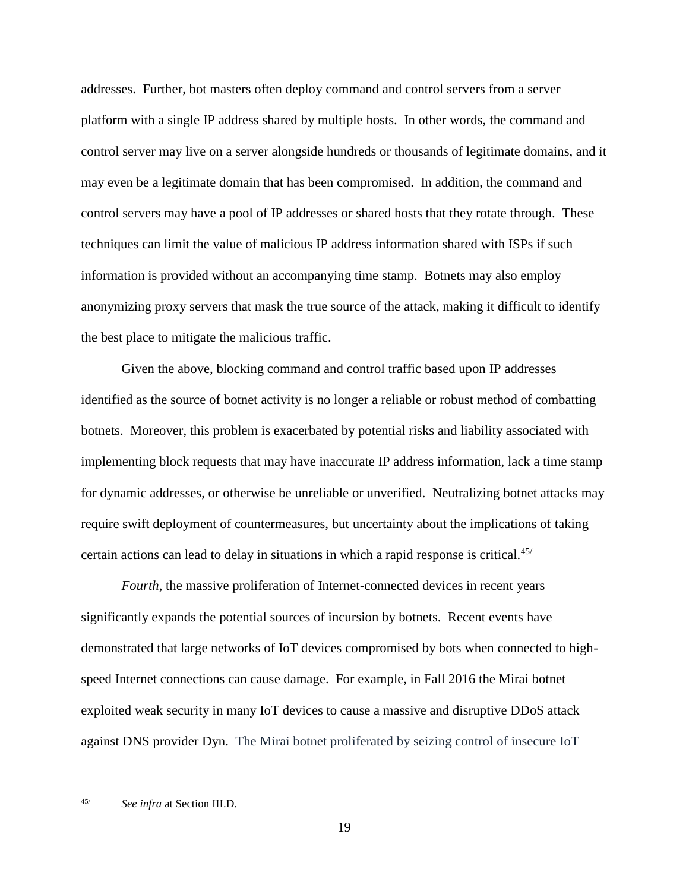addresses. Further, bot masters often deploy command and control servers from a server platform with a single IP address shared by multiple hosts. In other words, the command and control server may live on a server alongside hundreds or thousands of legitimate domains, and it may even be a legitimate domain that has been compromised. In addition, the command and control servers may have a pool of IP addresses or shared hosts that they rotate through. These techniques can limit the value of malicious IP address information shared with ISPs if such information is provided without an accompanying time stamp. Botnets may also employ anonymizing proxy servers that mask the true source of the attack, making it difficult to identify the best place to mitigate the malicious traffic.

Given the above, blocking command and control traffic based upon IP addresses identified as the source of botnet activity is no longer a reliable or robust method of combatting botnets. Moreover, this problem is exacerbated by potential risks and liability associated with implementing block requests that may have inaccurate IP address information, lack a time stamp for dynamic addresses, or otherwise be unreliable or unverified. Neutralizing botnet attacks may require swift deployment of countermeasures, but uncertainty about the implications of taking certain actions can lead to delay in situations in which a rapid response is critical.<sup>45/</sup>

*Fourth*, the massive proliferation of Internet-connected devices in recent years significantly expands the potential sources of incursion by botnets. Recent events have demonstrated that large networks of IoT devices compromised by bots when connected to highspeed Internet connections can cause damage. For example, in Fall 2016 the Mirai botnet exploited weak security in many IoT devices to cause a massive and disruptive DDoS attack against DNS provider Dyn. The Mirai botnet proliferated by seizing control of insecure IoT

<sup>45/</sup> *See infra* at Section III.D.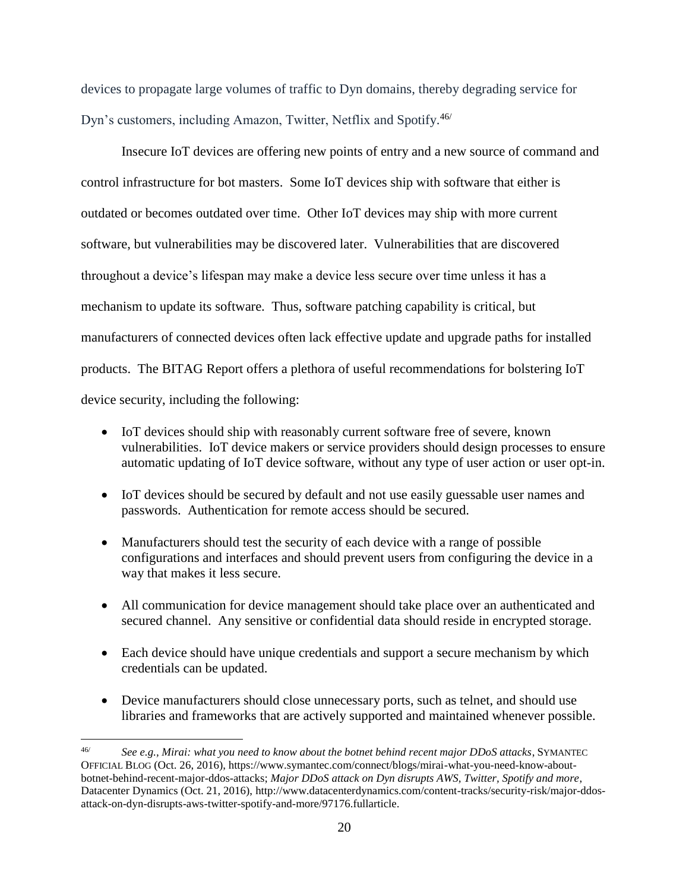devices to propagate large volumes of traffic to Dyn domains, thereby degrading service for Dyn's customers, including Amazon, Twitter, Netflix and Spotify.<sup>46/</sup>

Insecure IoT devices are offering new points of entry and a new source of command and control infrastructure for bot masters. Some IoT devices ship with software that either is outdated or becomes outdated over time. Other IoT devices may ship with more current software, but vulnerabilities may be discovered later. Vulnerabilities that are discovered throughout a device's lifespan may make a device less secure over time unless it has a mechanism to update its software. Thus, software patching capability is critical, but manufacturers of connected devices often lack effective update and upgrade paths for installed products. The BITAG Report offers a plethora of useful recommendations for bolstering IoT device security, including the following:

- IoT devices should ship with reasonably current software free of severe, known vulnerabilities. IoT device makers or service providers should design processes to ensure automatic updating of IoT device software, without any type of user action or user opt-in.
- IoT devices should be secured by default and not use easily guessable user names and passwords. Authentication for remote access should be secured.
- Manufacturers should test the security of each device with a range of possible configurations and interfaces and should prevent users from configuring the device in a way that makes it less secure.
- All communication for device management should take place over an authenticated and secured channel. Any sensitive or confidential data should reside in encrypted storage.
- Each device should have unique credentials and support a secure mechanism by which credentials can be updated.
- Device manufacturers should close unnecessary ports, such as telnet, and should use libraries and frameworks that are actively supported and maintained whenever possible.

<sup>46/</sup> *See e.g., Mirai: what you need to know about the botnet behind recent major DDoS attacks*, SYMANTEC OFFICIAL BLOG (Oct. 26, 2016), https://www.symantec.com/connect/blogs/mirai-what-you-need-know-aboutbotnet-behind-recent-major-ddos-attacks; *Major DDoS attack on Dyn disrupts AWS, Twitter, Spotify and more*, Datacenter Dynamics (Oct. 21, 2016), http://www.datacenterdynamics.com/content-tracks/security-risk/major-ddosattack-on-dyn-disrupts-aws-twitter-spotify-and-more/97176.fullarticle.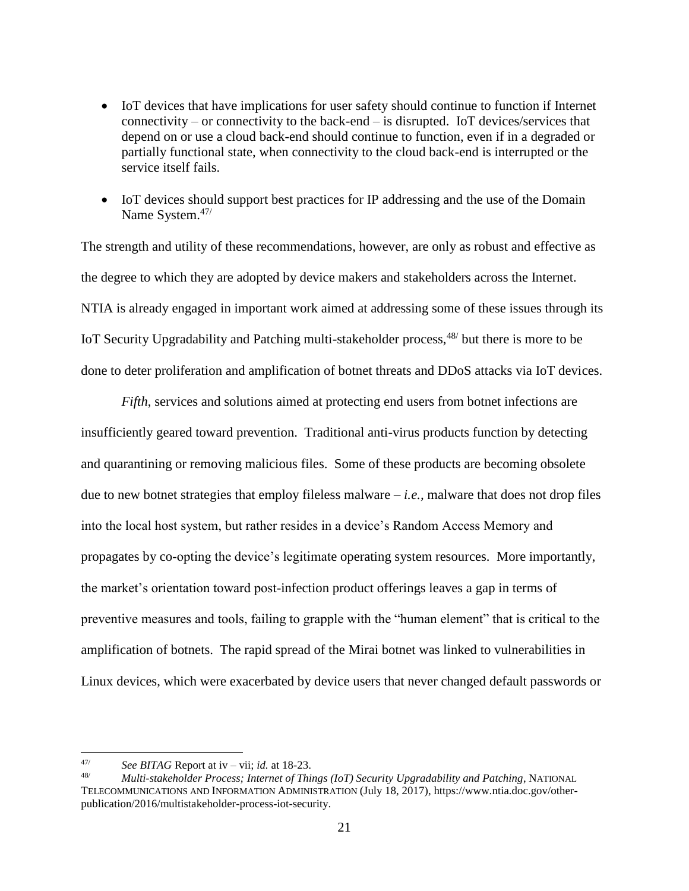- IoT devices that have implications for user safety should continue to function if Internet connectivity – or connectivity to the back-end – is disrupted. IoT devices/services that depend on or use a cloud back-end should continue to function, even if in a degraded or partially functional state, when connectivity to the cloud back-end is interrupted or the service itself fails.
- IoT devices should support best practices for IP addressing and the use of the Domain Name System.<sup>47/</sup>

The strength and utility of these recommendations, however, are only as robust and effective as the degree to which they are adopted by device makers and stakeholders across the Internet. NTIA is already engaged in important work aimed at addressing some of these issues through its IoT Security Upgradability and Patching multi-stakeholder process,<sup>48/</sup> but there is more to be done to deter proliferation and amplification of botnet threats and DDoS attacks via IoT devices.

*Fifth*, services and solutions aimed at protecting end users from botnet infections are insufficiently geared toward prevention. Traditional anti-virus products function by detecting and quarantining or removing malicious files. Some of these products are becoming obsolete due to new botnet strategies that employ fileless malware – *i.e.,* malware that does not drop files into the local host system, but rather resides in a device's Random Access Memory and propagates by co-opting the device's legitimate operating system resources. More importantly, the market's orientation toward post-infection product offerings leaves a gap in terms of preventive measures and tools, failing to grapple with the "human element" that is critical to the amplification of botnets. The rapid spread of the Mirai botnet was linked to vulnerabilities in Linux devices, which were exacerbated by device users that never changed default passwords or

<sup>47/</sup> *See BITAG* Report at iv – vii; *id.* at 18-23.

<sup>48/</sup> *Multi-stakeholder Process; Internet of Things (IoT) Security Upgradability and Patching*, NATIONAL TELECOMMUNICATIONS AND INFORMATION ADMINISTRATION (July 18, 2017), https://www.ntia.doc.gov/otherpublication/2016/multistakeholder-process-iot-security.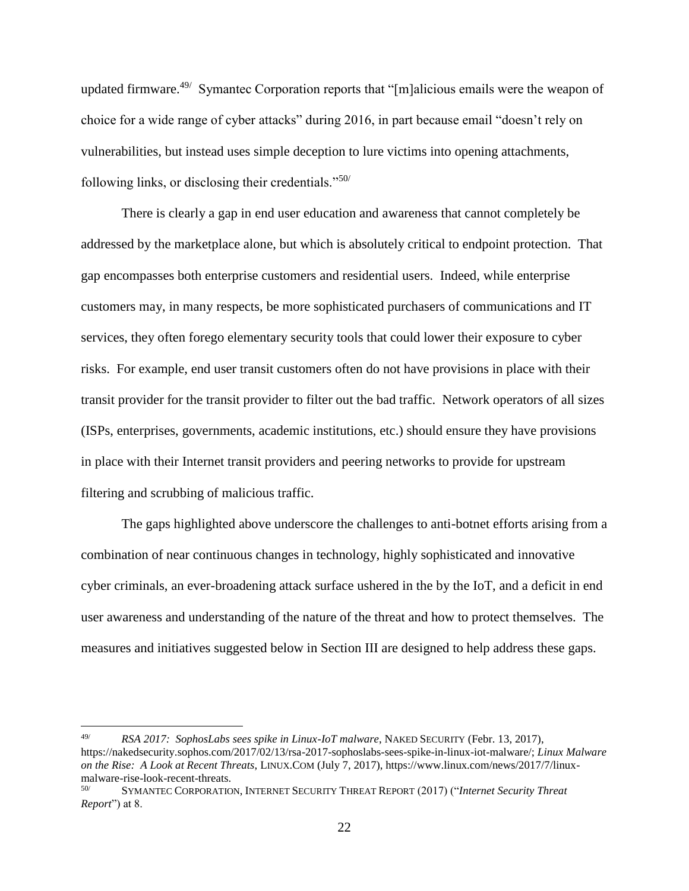updated firmware.<sup>49/</sup> Symantec Corporation reports that "[m]alicious emails were the weapon of choice for a wide range of cyber attacks" during 2016, in part because email "doesn't rely on vulnerabilities, but instead uses simple deception to lure victims into opening attachments, following links, or disclosing their credentials." $50/$ 

There is clearly a gap in end user education and awareness that cannot completely be addressed by the marketplace alone, but which is absolutely critical to endpoint protection. That gap encompasses both enterprise customers and residential users. Indeed, while enterprise customers may, in many respects, be more sophisticated purchasers of communications and IT services, they often forego elementary security tools that could lower their exposure to cyber risks. For example, end user transit customers often do not have provisions in place with their transit provider for the transit provider to filter out the bad traffic. Network operators of all sizes (ISPs, enterprises, governments, academic institutions, etc.) should ensure they have provisions in place with their Internet transit providers and peering networks to provide for upstream filtering and scrubbing of malicious traffic.

The gaps highlighted above underscore the challenges to anti-botnet efforts arising from a combination of near continuous changes in technology, highly sophisticated and innovative cyber criminals, an ever-broadening attack surface ushered in the by the IoT, and a deficit in end user awareness and understanding of the nature of the threat and how to protect themselves. The measures and initiatives suggested below in Section III are designed to help address these gaps.

<sup>49/</sup> *RSA 2017: SophosLabs sees spike in Linux-IoT malware*, NAKED SECURITY (Febr. 13, 2017), https://nakedsecurity.sophos.com/2017/02/13/rsa-2017-sophoslabs-sees-spike-in-linux-iot-malware/; *Linux Malware on the Rise: A Look at Recent Threats*, LINUX.COM (July 7, 2017), https://www.linux.com/news/2017/7/linuxmalware-rise-look-recent-threats.

<sup>50/</sup> SYMANTEC CORPORATION, INTERNET SECURITY THREAT REPORT (2017) ("*Internet Security Threat Report*") at 8.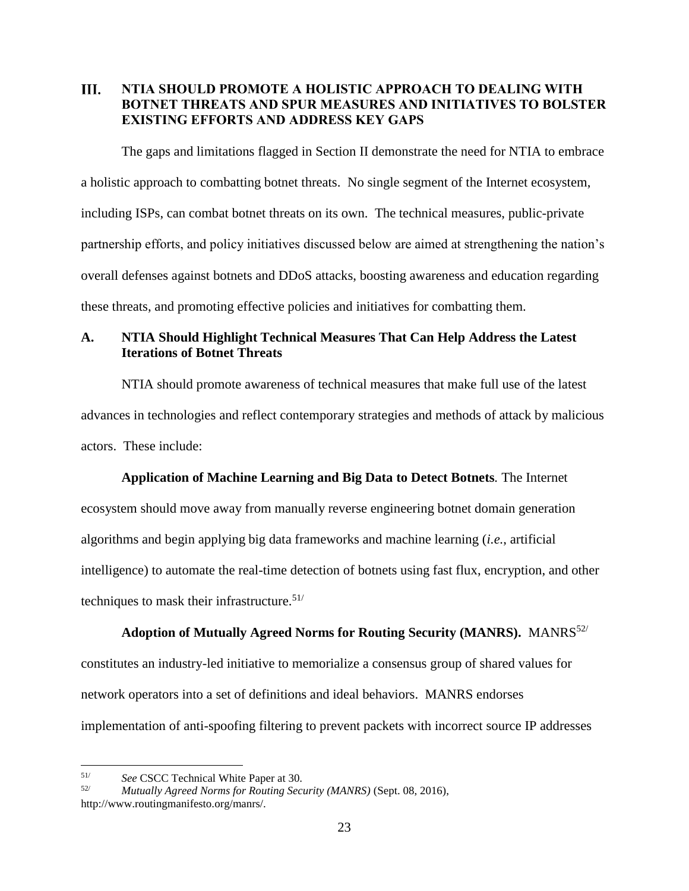#### <span id="page-24-0"></span>III. **NTIA SHOULD PROMOTE A HOLISTIC APPROACH TO DEALING WITH BOTNET THREATS AND SPUR MEASURES AND INITIATIVES TO BOLSTER EXISTING EFFORTS AND ADDRESS KEY GAPS**

The gaps and limitations flagged in Section II demonstrate the need for NTIA to embrace a holistic approach to combatting botnet threats. No single segment of the Internet ecosystem, including ISPs, can combat botnet threats on its own. The technical measures, public-private partnership efforts, and policy initiatives discussed below are aimed at strengthening the nation's overall defenses against botnets and DDoS attacks, boosting awareness and education regarding these threats, and promoting effective policies and initiatives for combatting them.

# <span id="page-24-1"></span>**A. NTIA Should Highlight Technical Measures That Can Help Address the Latest Iterations of Botnet Threats**

NTIA should promote awareness of technical measures that make full use of the latest advances in technologies and reflect contemporary strategies and methods of attack by malicious actors. These include:

# **Application of Machine Learning and Big Data to Detect Botnets***.* The Internet

ecosystem should move away from manually reverse engineering botnet domain generation algorithms and begin applying big data frameworks and machine learning (*i.e.*, artificial intelligence) to automate the real-time detection of botnets using fast flux, encryption, and other techniques to mask their infrastructure.<sup>51/</sup>

# **Adoption of Mutually Agreed Norms for Routing Security (MANRS).**MANRS52/ constitutes an industry-led initiative to memorialize a consensus group of shared values for network operators into a set of definitions and ideal behaviors. MANRS endorses implementation of anti-spoofing filtering to prevent packets with incorrect source IP addresses

<sup>51/</sup> *See* CSCC Technical White Paper at 30.

<sup>52/</sup> *Mutually Agreed Norms for Routing Security (MANRS)* (Sept. 08, 2016), http://www.routingmanifesto.org/manrs/.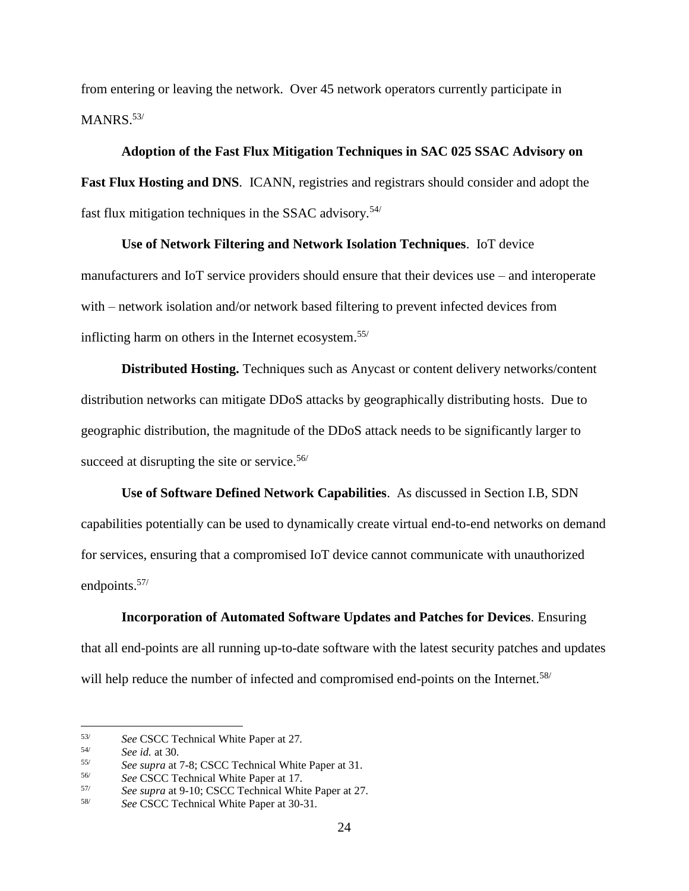from entering or leaving the network. Over 45 network operators currently participate in MANRS.<sup>53/</sup>

#### **Adoption of the Fast Flux Mitigation Techniques in SAC 025 SSAC Advisory on**

**Fast Flux Hosting and DNS***.* ICANN, registries and registrars should consider and adopt the fast flux mitigation techniques in the SSAC advisory.<sup>54/</sup>

#### **Use of Network Filtering and Network Isolation Techniques**. IoT device

manufacturers and IoT service providers should ensure that their devices use – and interoperate with – network isolation and/or network based filtering to prevent infected devices from inflicting harm on others in the Internet ecosystem.55/

**Distributed Hosting.** Techniques such as Anycast or content delivery networks/content distribution networks can mitigate DDoS attacks by geographically distributing hosts. Due to geographic distribution, the magnitude of the DDoS attack needs to be significantly larger to succeed at disrupting the site or service.<sup>56/</sup>

**Use of Software Defined Network Capabilities**. As discussed in Section I.B, SDN capabilities potentially can be used to dynamically create virtual end-to-end networks on demand for services, ensuring that a compromised IoT device cannot communicate with unauthorized endpoints.<sup>57/</sup>

**Incorporation of Automated Software Updates and Patches for Devices***.* Ensuring that all end-points are all running up-to-date software with the latest security patches and updates will help reduce the number of infected and compromised end-points on the Internet.<sup>58/</sup>

<sup>53/</sup> *See* CSCC Technical White Paper at 27*.*

<sup>54/</sup> *See id.* at 30*.*

<sup>55/</sup> *See supra* at 7-8; CSCC Technical White Paper at 31*.*

<sup>56/</sup> *See* CSCC Technical White Paper at 17.

<sup>57/</sup> *See supra* at 9-10; CSCC Technical White Paper at 27*.*

<sup>58/</sup> *See* CSCC Technical White Paper at 30-31*.*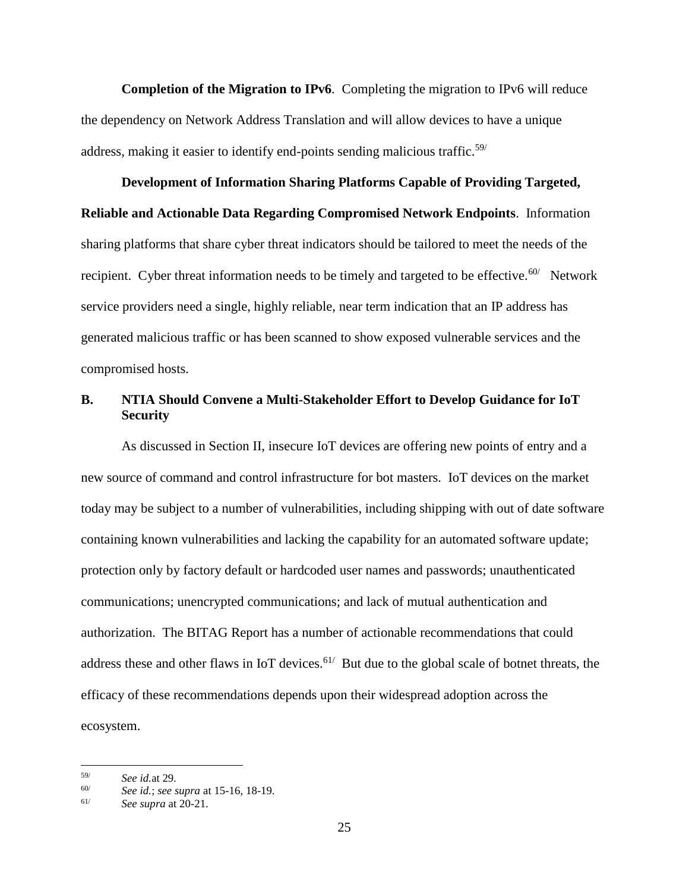**Completion of the Migration to IPv6***.* Completing the migration to IPv6 will reduce the dependency on Network Address Translation and will allow devices to have a unique address, making it easier to identify end-points sending malicious traffic.<sup>59/</sup>

# **Development of Information Sharing Platforms Capable of Providing Targeted, Reliable and Actionable Data Regarding Compromised Network Endpoints**. Information sharing platforms that share cyber threat indicators should be tailored to meet the needs of the recipient. Cyber threat information needs to be timely and targeted to be effective.<sup>60/</sup> Network service providers need a single, highly reliable, near term indication that an IP address has generated malicious traffic or has been scanned to show exposed vulnerable services and the compromised hosts.

# <span id="page-26-0"></span>**B. NTIA Should Convene a Multi-Stakeholder Effort to Develop Guidance for IoT Security**

As discussed in Section II, insecure IoT devices are offering new points of entry and a new source of command and control infrastructure for bot masters. IoT devices on the market today may be subject to a number of vulnerabilities, including shipping with out of date software containing known vulnerabilities and lacking the capability for an automated software update; protection only by factory default or hardcoded user names and passwords; unauthenticated communications; unencrypted communications; and lack of mutual authentication and authorization. The BITAG Report has a number of actionable recommendations that could address these and other flaws in IoT devices.  $61/$  But due to the global scale of botnet threats, the efficacy of these recommendations depends upon their widespread adoption across the ecosystem.

<sup>59/</sup> *See id.*at 29*.*

 $60/$  *See id.*; *see supra* at 15-16, 18-19*.*<br> $61/$  *See supra* at 20-21

<sup>61/</sup> *See supra* at 20-21.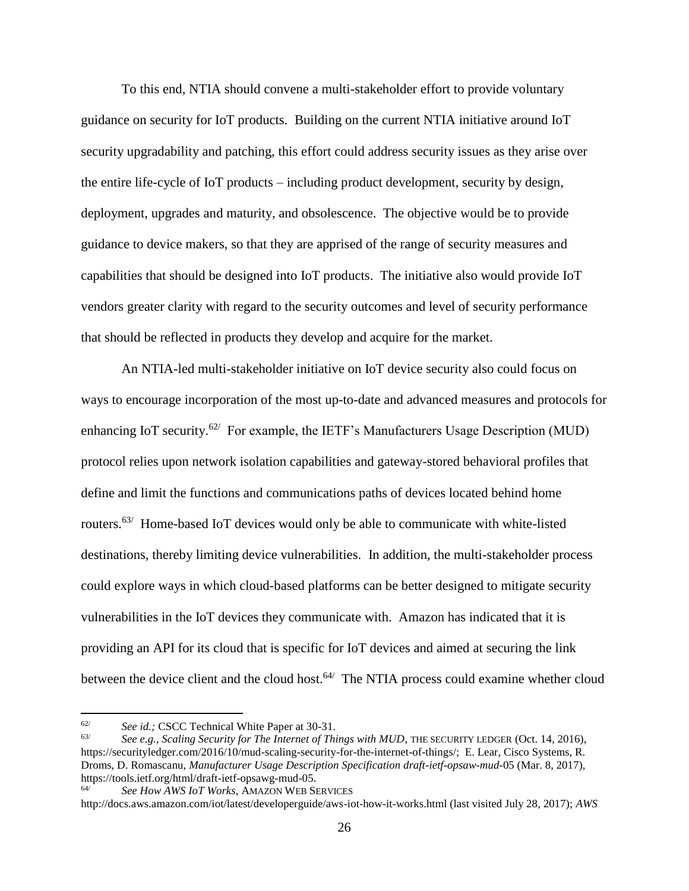To this end, NTIA should convene a multi-stakeholder effort to provide voluntary guidance on security for IoT products. Building on the current NTIA initiative around IoT security upgradability and patching, this effort could address security issues as they arise over the entire life-cycle of IoT products – including product development, security by design, deployment, upgrades and maturity, and obsolescence. The objective would be to provide guidance to device makers, so that they are apprised of the range of security measures and capabilities that should be designed into IoT products. The initiative also would provide IoT vendors greater clarity with regard to the security outcomes and level of security performance that should be reflected in products they develop and acquire for the market.

An NTIA-led multi-stakeholder initiative on IoT device security also could focus on ways to encourage incorporation of the most up-to-date and advanced measures and protocols for enhancing IoT security.<sup>62/</sup> For example, the IETF's Manufacturers Usage Description (MUD) protocol relies upon network isolation capabilities and gateway-stored behavioral profiles that define and limit the functions and communications paths of devices located behind home routers.<sup>63/</sup> Home-based IoT devices would only be able to communicate with white-listed destinations, thereby limiting device vulnerabilities. In addition, the multi-stakeholder process could explore ways in which cloud-based platforms can be better designed to mitigate security vulnerabilities in the IoT devices they communicate with. Amazon has indicated that it is providing an API for its cloud that is specific for IoT devices and aimed at securing the link between the device client and the cloud host. $64/$  The NTIA process could examine whether cloud

<sup>62/</sup> *See id.;* CSCC Technical White Paper at 30-31.

See e.g., Scaling Security for The Internet of Things with MUD, THE SECURITY LEDGER (Oct. 14, 2016), https://securityledger.com/2016/10/mud-scaling-security-for-the-internet-of-things/; E. Lear, Cisco Systems, R. Droms, D. Romascanu, *Manufacturer Usage Description Specification draft-ietf-opsaw-mud-*05 (Mar. 8, 2017), https://tools.ietf.org/html/draft-ietf-opsawg-mud-05.<br>64/

<sup>64/</sup> *See How AWS IoT Works*, AMAZON WEB SERVICES

http://docs.aws.amazon.com/iot/latest/developerguide/aws-iot-how-it-works.html (last visited July 28, 2017); *AWS*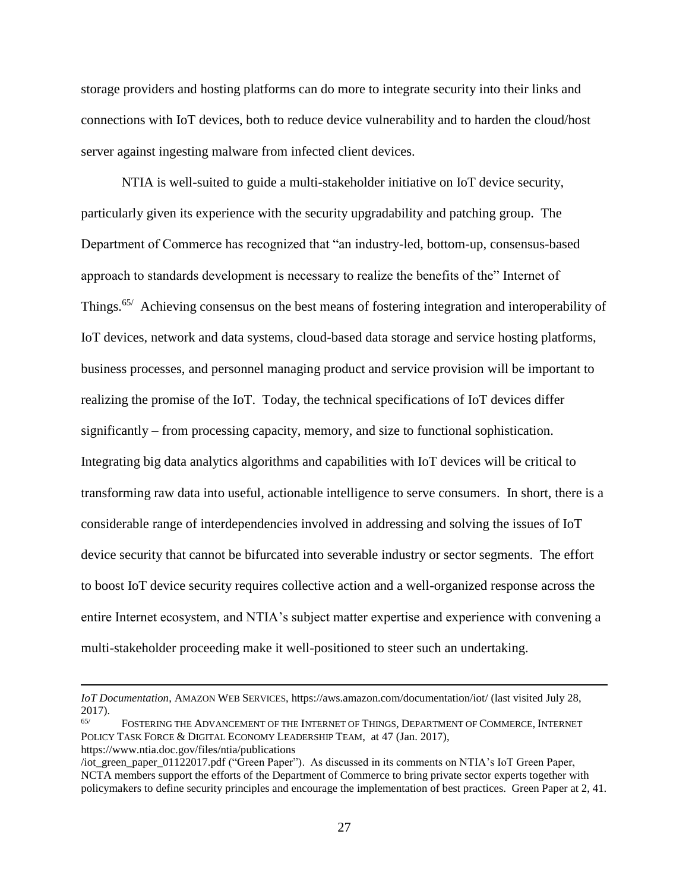storage providers and hosting platforms can do more to integrate security into their links and connections with IoT devices, both to reduce device vulnerability and to harden the cloud/host server against ingesting malware from infected client devices.

NTIA is well-suited to guide a multi-stakeholder initiative on IoT device security, particularly given its experience with the security upgradability and patching group. The Department of Commerce has recognized that "an industry-led, bottom-up, consensus-based approach to standards development is necessary to realize the benefits of the" Internet of Things.<sup>65/</sup> Achieving consensus on the best means of fostering integration and interoperability of IoT devices, network and data systems, cloud-based data storage and service hosting platforms, business processes, and personnel managing product and service provision will be important to realizing the promise of the IoT. Today, the technical specifications of IoT devices differ significantly – from processing capacity, memory, and size to functional sophistication. Integrating big data analytics algorithms and capabilities with IoT devices will be critical to transforming raw data into useful, actionable intelligence to serve consumers. In short, there is a considerable range of interdependencies involved in addressing and solving the issues of IoT device security that cannot be bifurcated into severable industry or sector segments. The effort to boost IoT device security requires collective action and a well-organized response across the entire Internet ecosystem, and NTIA's subject matter expertise and experience with convening a multi-stakeholder proceeding make it well-positioned to steer such an undertaking.

*IoT Documentation*, AMAZON WEB SERVICES, https://aws.amazon.com/documentation/iot/ (last visited July 28,  $2017$ ).

FOSTERING THE ADVANCEMENT OF THE INTERNET OF THINGS, DEPARTMENT OF COMMERCE, INTERNET POLICY TASK FORCE & DIGITAL ECONOMY LEADERSHIP TEAM, at 47 (Jan. 2017), https://www.ntia.doc.gov/files/ntia/publications

<sup>/</sup>iot\_green\_paper\_01122017.pdf ("Green Paper"). As discussed in its comments on NTIA's IoT Green Paper, NCTA members support the efforts of the Department of Commerce to bring private sector experts together with policymakers to define security principles and encourage the implementation of best practices. Green Paper at 2, 41.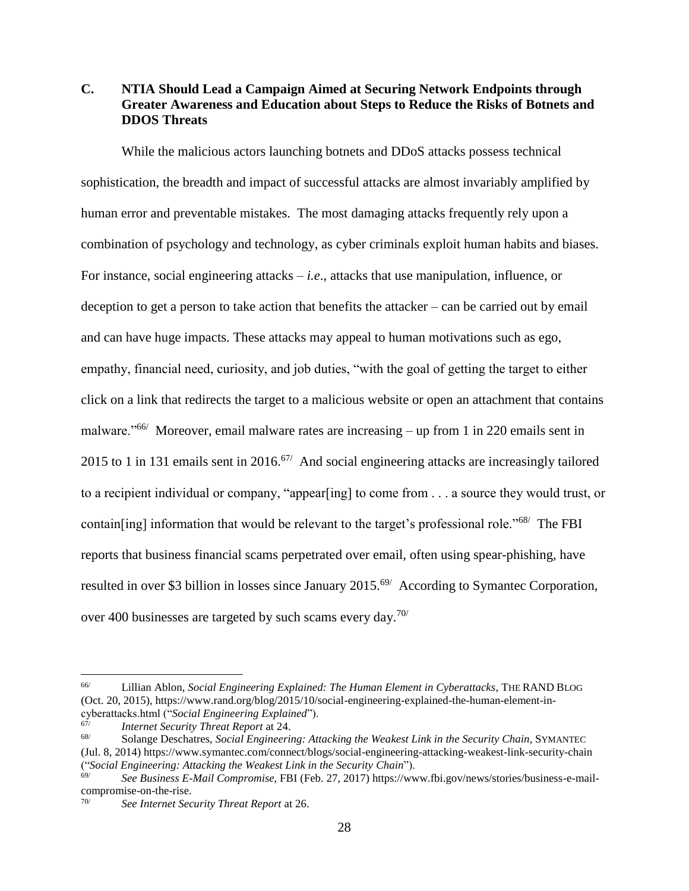# <span id="page-29-0"></span>**C. NTIA Should Lead a Campaign Aimed at Securing Network Endpoints through Greater Awareness and Education about Steps to Reduce the Risks of Botnets and DDOS Threats**

While the malicious actors launching botnets and DDoS attacks possess technical sophistication, the breadth and impact of successful attacks are almost invariably amplified by human error and preventable mistakes. The most damaging attacks frequently rely upon a combination of psychology and technology, as cyber criminals exploit human habits and biases. For instance, social engineering attacks – *i.e*., attacks that use manipulation, influence, or deception to get a person to take action that benefits the attacker – can be carried out by email and can have huge impacts. These attacks may appeal to human motivations such as ego, empathy, financial need, curiosity, and job duties, "with the goal of getting the target to either click on a link that redirects the target to a malicious website or open an attachment that contains malware."<sup>66/</sup> Moreover, email malware rates are increasing – up from 1 in 220 emails sent in 2015 to 1 in 131 emails sent in 2016.<sup>67/</sup> And social engineering attacks are increasingly tailored to a recipient individual or company, "appear[ing] to come from . . . a source they would trust, or contain[ing] information that would be relevant to the target's professional role."<sup>68/</sup> The FBI reports that business financial scams perpetrated over email, often using spear-phishing, have resulted in over \$3 billion in losses since January 2015.<sup>69/</sup> According to Symantec Corporation, over 400 businesses are targeted by such scams every day.<sup>70/</sup>

<sup>66/</sup> Lillian Ablon, *Social Engineering Explained: The Human Element in Cyberattacks*, THE RAND BLOG (Oct. 20, 2015), https://www.rand.org/blog/2015/10/social-engineering-explained-the-human-element-incyberattacks.html ("*Social Engineering Explained*").

<sup>67/</sup> *Internet Security Threat Report* at 24.

<sup>68/</sup> Solange Deschatres, *Social Engineering: Attacking the Weakest Link in the Security Chain*, SYMANTEC (Jul. 8, 2014) https://www.symantec.com/connect/blogs/social-engineering-attacking-weakest-link-security-chain ("*Social Engineering: Attacking the Weakest Link in the Security Chain*").

<sup>69/</sup> *See Business E-Mail Compromise*, FBI (Feb. 27, 2017) https://www.fbi.gov/news/stories/business-e-mailcompromise-on-the-rise.

<sup>70/</sup> *See Internet Security Threat Report* at 26.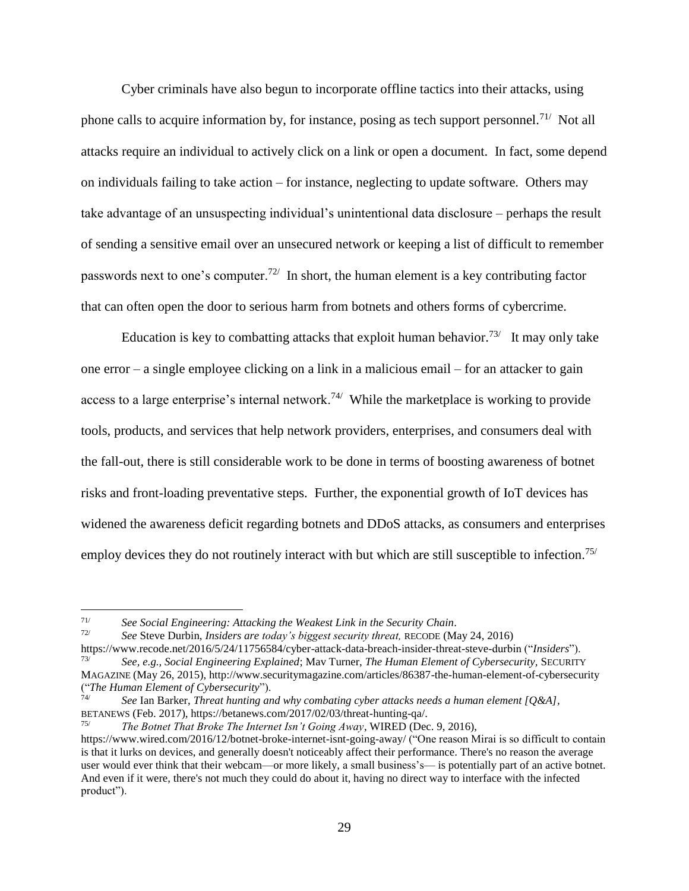Cyber criminals have also begun to incorporate offline tactics into their attacks, using phone calls to acquire information by, for instance, posing as tech support personnel.<sup>71/</sup> Not all attacks require an individual to actively click on a link or open a document. In fact, some depend on individuals failing to take action – for instance, neglecting to update software. Others may take advantage of an unsuspecting individual's unintentional data disclosure – perhaps the result of sending a sensitive email over an unsecured network or keeping a list of difficult to remember passwords next to one's computer.<sup>72/</sup> In short, the human element is a key contributing factor that can often open the door to serious harm from botnets and others forms of cybercrime.

Education is key to combatting attacks that exploit human behavior.<sup>73/</sup> It may only take one error – a single employee clicking on a link in a malicious email – for an attacker to gain access to a large enterprise's internal network.<sup>74/</sup> While the marketplace is working to provide tools, products, and services that help network providers, enterprises, and consumers deal with the fall-out, there is still considerable work to be done in terms of boosting awareness of botnet risks and front-loading preventative steps. Further, the exponential growth of IoT devices has widened the awareness deficit regarding botnets and DDoS attacks, as consumers and enterprises employ devices they do not routinely interact with but which are still susceptible to infection.<sup>75/</sup>

<sup>71/</sup> *See Social Engineering: Attacking the Weakest Link in the Security Chain*.

<sup>72/</sup> *See* Steve Durbin, *Insiders are today's biggest security threat,* RECODE (May 24, 2016) https://www.recode.net/2016/5/24/11756584/cyber-attack-data-breach-insider-threat-steve-durbin ("*Insiders*").

<sup>73/</sup> *See, e.g., Social Engineering Explained*; Mav Turner, *The Human Element of Cybersecurity,* SECURITY MAGAZINE (May 26, 2015), http://www.securitymagazine.com/articles/86387-the-human-element-of-cybersecurity ("*The Human Element of Cybersecurity*").

<sup>74/</sup> *See* Ian Barker, *Threat hunting and why combating cyber attacks needs a human element [Q&A],*  BETANEWS (Feb. 2017), https://betanews.com/2017/02/03/threat-hunting-qa/.

<sup>75/</sup> *The Botnet That Broke The Internet Isn't Going Away*, WIRED (Dec. 9, 2016), https://www.wired.com/2016/12/botnet-broke-internet-isnt-going-away/ ("One reason Mirai is so difficult to contain is that it lurks on devices, and generally doesn't noticeably affect their performance. There's no reason the average user would ever think that their webcam—or more likely, a small business's— is potentially part of an active botnet. And even if it were, there's not much they could do about it, having no direct way to interface with the infected product").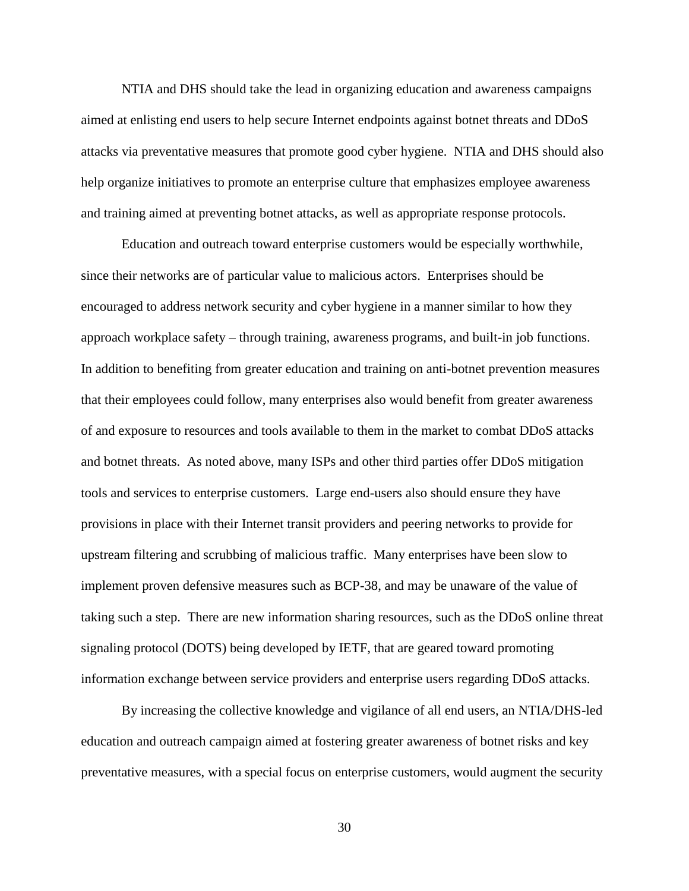NTIA and DHS should take the lead in organizing education and awareness campaigns aimed at enlisting end users to help secure Internet endpoints against botnet threats and DDoS attacks via preventative measures that promote good cyber hygiene. NTIA and DHS should also help organize initiatives to promote an enterprise culture that emphasizes employee awareness and training aimed at preventing botnet attacks, as well as appropriate response protocols.

Education and outreach toward enterprise customers would be especially worthwhile, since their networks are of particular value to malicious actors. Enterprises should be encouraged to address network security and cyber hygiene in a manner similar to how they approach workplace safety – through training, awareness programs, and built-in job functions. In addition to benefiting from greater education and training on anti-botnet prevention measures that their employees could follow, many enterprises also would benefit from greater awareness of and exposure to resources and tools available to them in the market to combat DDoS attacks and botnet threats. As noted above, many ISPs and other third parties offer DDoS mitigation tools and services to enterprise customers. Large end-users also should ensure they have provisions in place with their Internet transit providers and peering networks to provide for upstream filtering and scrubbing of malicious traffic. Many enterprises have been slow to implement proven defensive measures such as BCP-38, and may be unaware of the value of taking such a step. There are new information sharing resources, such as the DDoS online threat signaling protocol (DOTS) being developed by IETF, that are geared toward promoting information exchange between service providers and enterprise users regarding DDoS attacks.

By increasing the collective knowledge and vigilance of all end users, an NTIA/DHS-led education and outreach campaign aimed at fostering greater awareness of botnet risks and key preventative measures, with a special focus on enterprise customers, would augment the security

30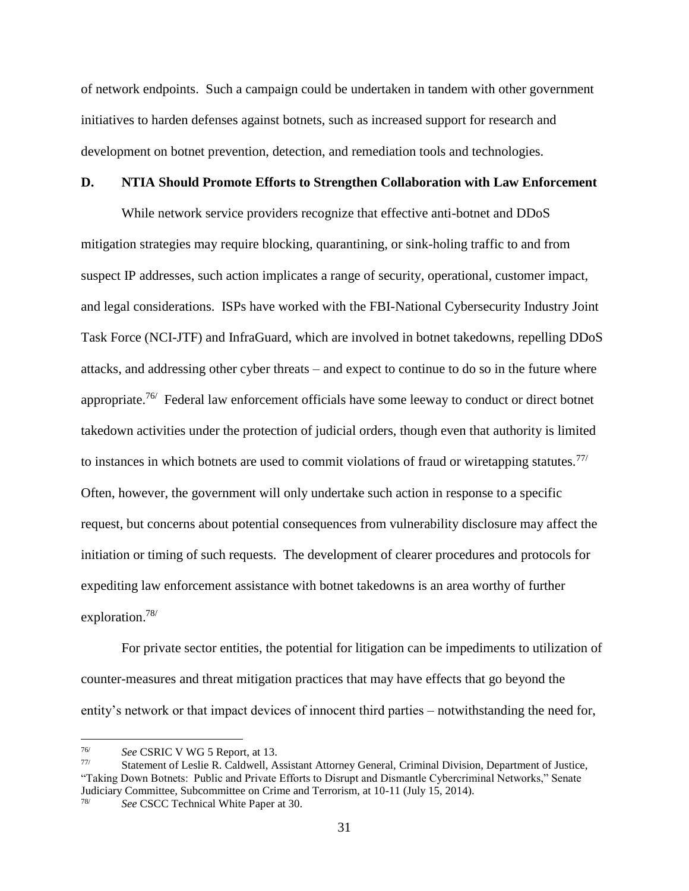of network endpoints. Such a campaign could be undertaken in tandem with other government initiatives to harden defenses against botnets, such as increased support for research and development on botnet prevention, detection, and remediation tools and technologies.

#### <span id="page-32-0"></span>**D. NTIA Should Promote Efforts to Strengthen Collaboration with Law Enforcement**

While network service providers recognize that effective anti-botnet and DDoS mitigation strategies may require blocking, quarantining, or sink-holing traffic to and from suspect IP addresses, such action implicates a range of security, operational, customer impact, and legal considerations. ISPs have worked with the FBI-National Cybersecurity Industry Joint Task Force (NCI-JTF) and InfraGuard, which are involved in botnet takedowns, repelling DDoS attacks, and addressing other cyber threats – and expect to continue to do so in the future where appropriate.<sup>76/</sup> Federal law enforcement officials have some leeway to conduct or direct botnet takedown activities under the protection of judicial orders, though even that authority is limited to instances in which botnets are used to commit violations of fraud or wiretapping statutes.<sup>77/</sup> Often, however, the government will only undertake such action in response to a specific request, but concerns about potential consequences from vulnerability disclosure may affect the initiation or timing of such requests. The development of clearer procedures and protocols for expediting law enforcement assistance with botnet takedowns is an area worthy of further exploration.78/

For private sector entities, the potential for litigation can be impediments to utilization of counter-measures and threat mitigation practices that may have effects that go beyond the entity's network or that impact devices of innocent third parties – notwithstanding the need for,

<sup>76/</sup> *See* CSRIC V WG 5 Report, at 13.

Statement of Leslie R. Caldwell, Assistant Attorney General, Criminal Division, Department of Justice, "Taking Down Botnets: Public and Private Efforts to Disrupt and Dismantle Cybercriminal Networks," Senate Judiciary Committee, Subcommittee on Crime and Terrorism, at 10-11 (July 15, 2014).

See CSCC Technical White Paper at 30.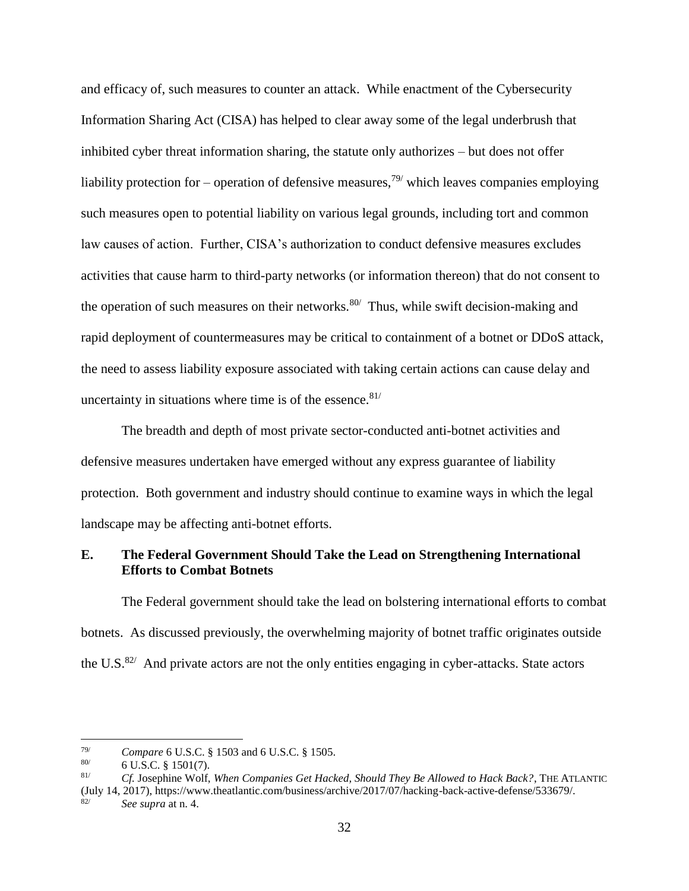and efficacy of, such measures to counter an attack. While enactment of the Cybersecurity Information Sharing Act (CISA) has helped to clear away some of the legal underbrush that inhibited cyber threat information sharing, the statute only authorizes – but does not offer liability protection for – operation of defensive measures,<sup>79/</sup> which leaves companies employing such measures open to potential liability on various legal grounds, including tort and common law causes of action. Further, CISA's authorization to conduct defensive measures excludes activities that cause harm to third-party networks (or information thereon) that do not consent to the operation of such measures on their networks.<sup>80/</sup> Thus, while swift decision-making and rapid deployment of countermeasures may be critical to containment of a botnet or DDoS attack, the need to assess liability exposure associated with taking certain actions can cause delay and uncertainty in situations where time is of the essence.  $81/$ 

The breadth and depth of most private sector-conducted anti-botnet activities and defensive measures undertaken have emerged without any express guarantee of liability protection. Both government and industry should continue to examine ways in which the legal landscape may be affecting anti-botnet efforts.

## <span id="page-33-0"></span>**E. The Federal Government Should Take the Lead on Strengthening International Efforts to Combat Botnets**

The Federal government should take the lead on bolstering international efforts to combat botnets. As discussed previously, the overwhelming majority of botnet traffic originates outside the U.S. $82/$  And private actors are not the only entities engaging in cyber-attacks. State actors

<sup>79/</sup> *Compare* 6 U.S.C. § 1503 and 6 U.S.C. § 1505.

<sup>6</sup> U.S.C. § 1501(7).

<sup>81/</sup> *Cf.* Josephine Wolf, *When Companies Get Hacked, Should They Be Allowed to Hack Back?*, THE ATLANTIC (July 14, 2017), https://www.theatlantic.com/business/archive/2017/07/hacking-back-active-defense/533679/.

<sup>82/</sup> *See supra* at n. 4.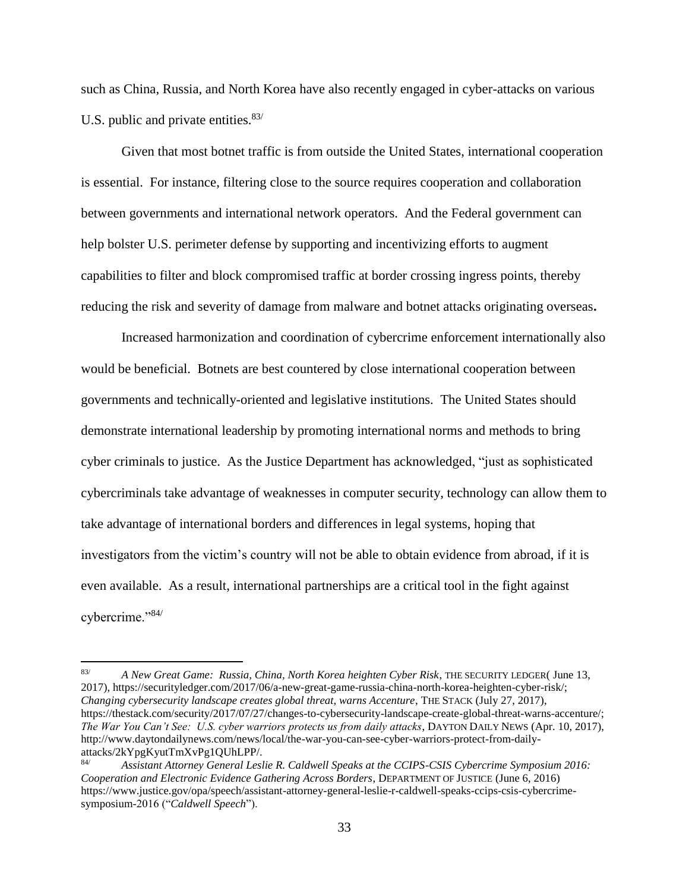such as China, Russia, and North Korea have also recently engaged in cyber-attacks on various U.S. public and private entities. $83/$ 

Given that most botnet traffic is from outside the United States, international cooperation is essential. For instance, filtering close to the source requires cooperation and collaboration between governments and international network operators. And the Federal government can help bolster U.S. perimeter defense by supporting and incentivizing efforts to augment capabilities to filter and block compromised traffic at border crossing ingress points, thereby reducing the risk and severity of damage from malware and botnet attacks originating overseas**.**

Increased harmonization and coordination of cybercrime enforcement internationally also would be beneficial. Botnets are best countered by close international cooperation between governments and technically-oriented and legislative institutions. The United States should demonstrate international leadership by promoting international norms and methods to bring cyber criminals to justice. As the Justice Department has acknowledged, "just as sophisticated cybercriminals take advantage of weaknesses in computer security, technology can allow them to take advantage of international borders and differences in legal systems, hoping that investigators from the victim's country will not be able to obtain evidence from abroad, if it is even available. As a result, international partnerships are a critical tool in the fight against cybercrime."84/

<sup>83/</sup> *A New Great Game: Russia, China, North Korea heighten Cyber Risk*, THE SECURITY LEDGER( June 13, 2017), https://securityledger.com/2017/06/a-new-great-game-russia-china-north-korea-heighten-cyber-risk/; *Changing cybersecurity landscape creates global threat, warns Accenture*, THE STACK (July 27, 2017), https://thestack.com/security/2017/07/27/changes-to-cybersecurity-landscape-create-global-threat-warns-accenture/; *The War You Can't See: U.S. cyber warriors protects us from daily attacks*, DAYTON DAILY NEWS (Apr. 10, 2017), http://www.daytondailynews.com/news/local/the-war-you-can-see-cyber-warriors-protect-from-dailyattacks/2kYpgKyutTmXvPg1QUhLPP/.<br>Assistant Attorney General Lesl

<sup>84/</sup> *Assistant Attorney General Leslie R. Caldwell Speaks at the CCIPS-CSIS Cybercrime Symposium 2016: Cooperation and Electronic Evidence Gathering Across Borders*, DEPARTMENT OF JUSTICE (June 6, 2016) https://www.justice.gov/opa/speech/assistant-attorney-general-leslie-r-caldwell-speaks-ccips-csis-cybercrimesymposium-2016 ("*Caldwell Speech*").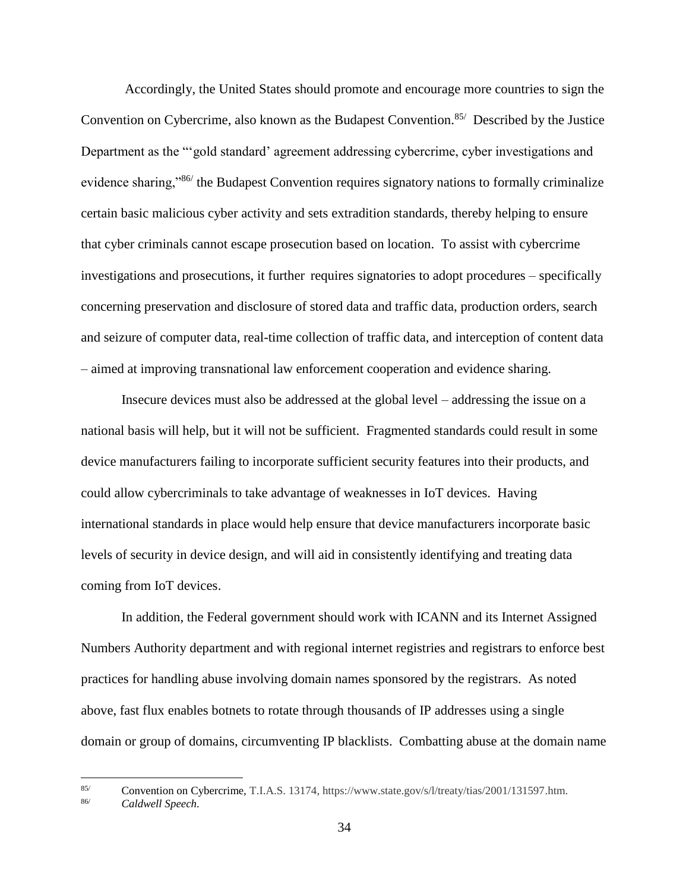Accordingly, the United States should promote and encourage more countries to sign the Convention on Cybercrime, also known as the Budapest Convention.<sup>85/</sup> Described by the Justice Department as the "'gold standard' agreement addressing cybercrime, cyber investigations and evidence sharing,"<sup>86</sup> the Budapest Convention requires signatory nations to formally criminalize certain basic malicious cyber activity and sets extradition standards, thereby helping to ensure that cyber criminals cannot escape prosecution based on location. To assist with cybercrime investigations and prosecutions, it further requires signatories to adopt procedures – specifically concerning preservation and disclosure of stored data and traffic data, production orders, search and seizure of computer data, real-time collection of traffic data, and interception of content data – aimed at improving transnational law enforcement cooperation and evidence sharing.

Insecure devices must also be addressed at the global level – addressing the issue on a national basis will help, but it will not be sufficient. Fragmented standards could result in some device manufacturers failing to incorporate sufficient security features into their products, and could allow cybercriminals to take advantage of weaknesses in IoT devices. Having international standards in place would help ensure that device manufacturers incorporate basic levels of security in device design, and will aid in consistently identifying and treating data coming from IoT devices.

In addition, the Federal government should work with ICANN and its Internet Assigned Numbers Authority department and with regional internet registries and registrars to enforce best practices for handling abuse involving domain names sponsored by the registrars. As noted above, fast flux enables botnets to rotate through thousands of IP addresses using a single domain or group of domains, circumventing IP blacklists. Combatting abuse at the domain name

85/ Convention on Cybercrime, T.I.A.S. 13174, https://www.state.gov/s/l/treaty/tias/2001/131597.htm.<br>86/ Caldwall Spaach

<sup>86/</sup> *Caldwell Speech.*